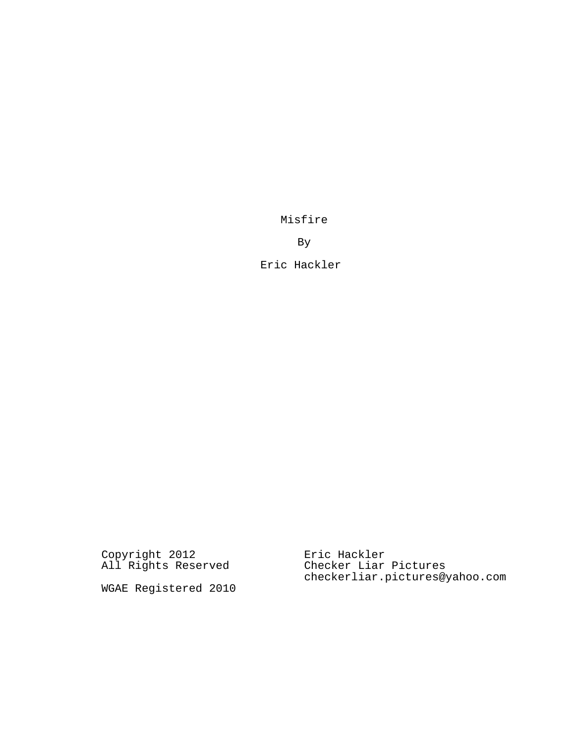Misfire

By

Eric Hackler

Copyright 2012 All Rights Reserved

WGAE Registered 2010

Eric Hackler Checker Liar Pictures checkerliar.pictures@yahoo.com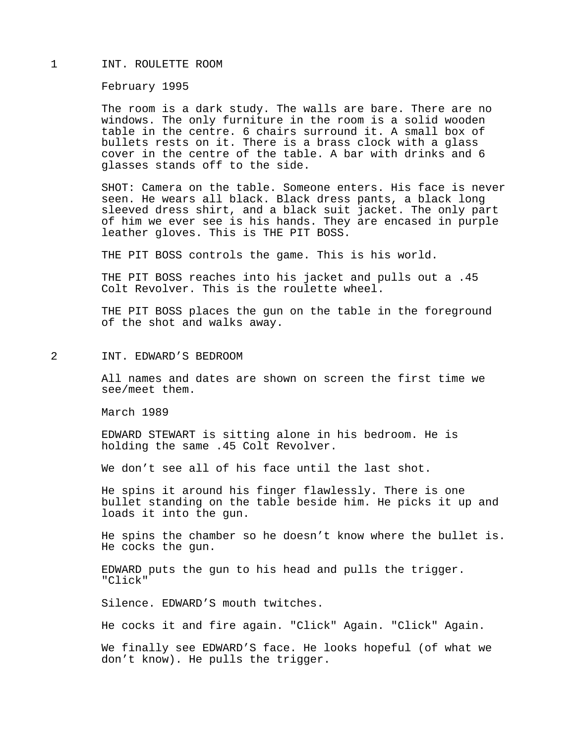#### 1 INT. ROULETTE ROOM

## February 1995

The room is a dark study. The walls are bare. There are no windows. The only furniture in the room is a solid wooden table in the centre. 6 chairs surround it. A small box of bullets rests on it. There is a brass clock with a glass cover in the centre of the table. A bar with drinks and 6 glasses stands off to the side.

SHOT: Camera on the table. Someone enters. His face is never seen. He wears all black. Black dress pants, a black long sleeved dress shirt, and a black suit jacket. The only part of him we ever see is his hands. They are encased in purple leather gloves. This is THE PIT BOSS.

THE PIT BOSS controls the game. This is his world.

THE PIT BOSS reaches into his jacket and pulls out a .45 Colt Revolver. This is the roulette wheel.

THE PIT BOSS places the gun on the table in the foreground of the shot and walks away.

#### 2 INT. EDWARD'S BEDROOM

All names and dates are shown on screen the first time we see/meet them.

March 1989

EDWARD STEWART is sitting alone in his bedroom. He is holding the same .45 Colt Revolver.

We don't see all of his face until the last shot.

He spins it around his finger flawlessly. There is one bullet standing on the table beside him. He picks it up and loads it into the gun.

He spins the chamber so he doesn't know where the bullet is. He cocks the gun.

EDWARD puts the gun to his head and pulls the trigger. "Click"

Silence. EDWARD'S mouth twitches.

He cocks it and fire again. "Click" Again. "Click" Again.

We finally see EDWARD'S face. He looks hopeful (of what we don't know). He pulls the trigger.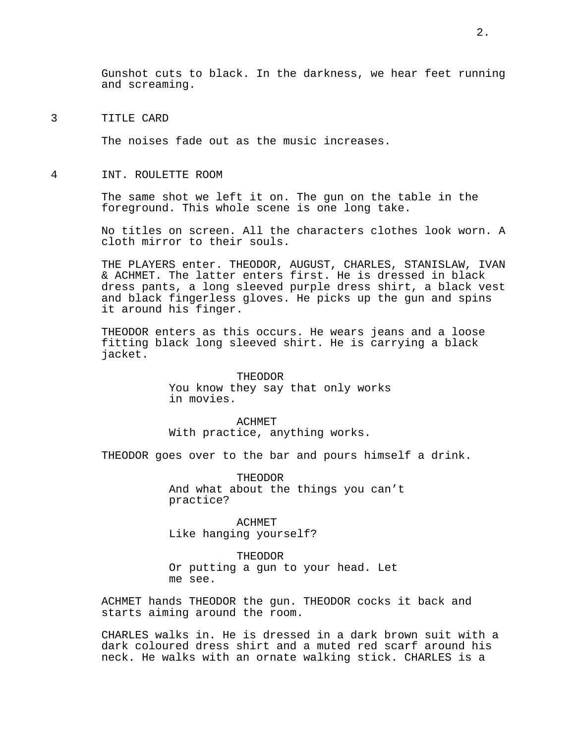3 TITLE CARD

The noises fade out as the music increases.

4 INT. ROULETTE ROOM

The same shot we left it on. The gun on the table in the foreground. This whole scene is one long take.

No titles on screen. All the characters clothes look worn. A cloth mirror to their souls.

THE PLAYERS enter. THEODOR, AUGUST, CHARLES, STANISLAW, IVAN & ACHMET. The latter enters first. He is dressed in black dress pants, a long sleeved purple dress shirt, a black vest and black fingerless gloves. He picks up the gun and spins it around his finger.

THEODOR enters as this occurs. He wears jeans and a loose fitting black long sleeved shirt. He is carrying a black jacket.

> THEODOR You know they say that only works in movies.

ACHMET With practice, anything works.

THEODOR goes over to the bar and pours himself a drink.

THEODOR And what about the things you can't practice?

ACHMET Like hanging yourself?

THEODOR Or putting a gun to your head. Let me see.

ACHMET hands THEODOR the gun. THEODOR cocks it back and starts aiming around the room.

CHARLES walks in. He is dressed in a dark brown suit with a dark coloured dress shirt and a muted red scarf around his neck. He walks with an ornate walking stick. CHARLES is a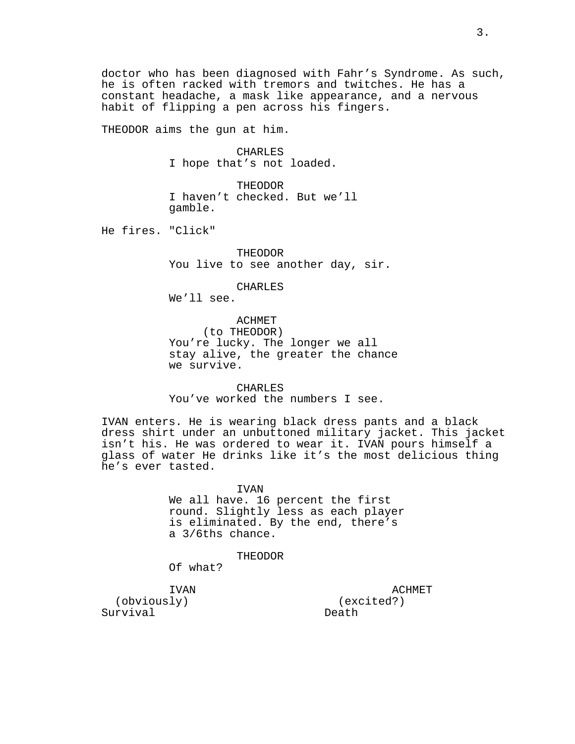doctor who has been diagnosed with Fahr's Syndrome. As such, he is often racked with tremors and twitches. He has a constant headache, a mask like appearance, and a nervous habit of flipping a pen across his fingers.

THEODOR aims the gun at him.

CHARLES I hope that's not loaded.

THEODOR I haven't checked. But we'll gamble.

He fires. "Click"

THEODOR You live to see another day, sir.

CHARLES

We'll see.

ACHMET (to THEODOR) You're lucky. The longer we all stay alive, the greater the chance we survive.

CHARLES You've worked the numbers I see.

IVAN enters. He is wearing black dress pants and a black dress shirt under an unbuttoned military jacket. This jacket isn't his. He was ordered to wear it. IVAN pours himself a glass of water He drinks like it's the most delicious thing he's ever tasted.

> IVAN We all have. 16 percent the first round. Slightly less as each player is eliminated. By the end, there's a 3/6ths chance.

> > THEODOR

Of what?

IVAN (obviously) Survival

ACHMET (excited?) Death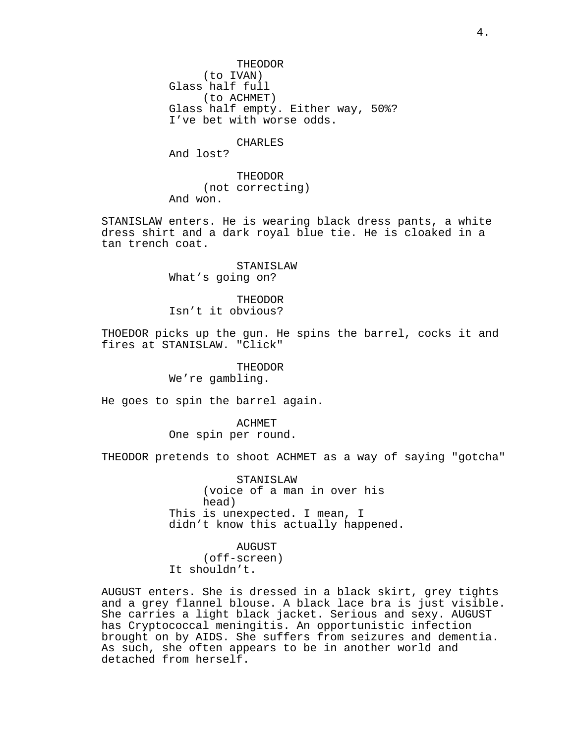THEODOR (to IVAN) Glass half full (to ACHMET) Glass half empty. Either way, 50%? I've bet with worse odds.

#### CHARLES

And lost?

THEODOR (not correcting) And won.

STANISLAW enters. He is wearing black dress pants, a white dress shirt and a dark royal blue tie. He is cloaked in a tan trench coat.

> STANISLAW What's going on?

THEODOR Isn't it obvious?

THOEDOR picks up the gun. He spins the barrel, cocks it and fires at STANISLAW. "Click"

THEODOR

We're gambling.

He goes to spin the barrel again.

ACHMET One spin per round.

THEODOR pretends to shoot ACHMET as a way of saying "gotcha"

STANISLAW (voice of a man in over his head) This is unexpected. I mean, I didn't know this actually happened.

AUGUST (off-screen) It shouldn't.

AUGUST enters. She is dressed in a black skirt, grey tights and a grey flannel blouse. A black lace bra is just visible. She carries a light black jacket. Serious and sexy. AUGUST has Cryptococcal meningitis. An opportunistic infection brought on by AIDS. She suffers from seizures and dementia. As such, she often appears to be in another world and detached from herself.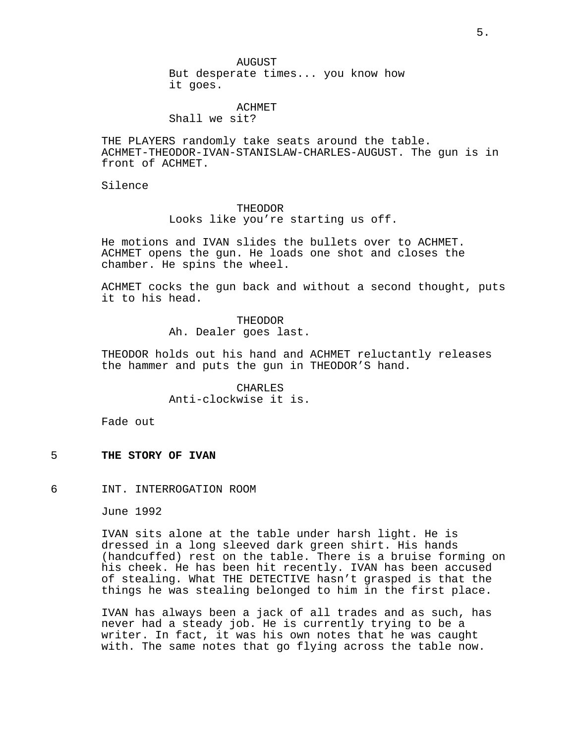AUGUST But desperate times... you know how it goes.

# ACHMET Shall we sit?

THE PLAYERS randomly take seats around the table. ACHMET-THEODOR-IVAN-STANISLAW-CHARLES-AUGUST. The gun is in front of ACHMET.

Silence

# THEODOR Looks like you're starting us off.

He motions and IVAN slides the bullets over to ACHMET. ACHMET opens the gun. He loads one shot and closes the chamber. He spins the wheel.

ACHMET cocks the gun back and without a second thought, puts it to his head.

### **THEODOR**

Ah. Dealer goes last.

THEODOR holds out his hand and ACHMET reluctantly releases the hammer and puts the gun in THEODOR'S hand.

> CHARLES Anti-clockwise it is.

Fade out

# 5 **THE STORY OF IVAN**

## 6 INT. INTERROGATION ROOM

June 1992

IVAN sits alone at the table under harsh light. He is dressed in a long sleeved dark green shirt. His hands (handcuffed) rest on the table. There is a bruise forming on his cheek. He has been hit recently. IVAN has been accused of stealing. What THE DETECTIVE hasn't grasped is that the things he was stealing belonged to him in the first place.

IVAN has always been a jack of all trades and as such, has never had a steady job. He is currently trying to be a writer. In fact, it was his own notes that he was caught with. The same notes that go flying across the table now.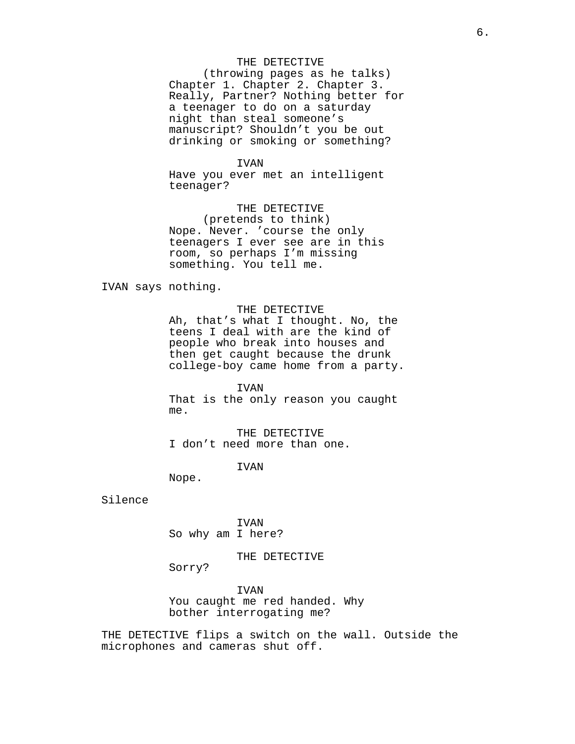#### THE DETECTIVE

(throwing pages as he talks) Chapter 1. Chapter 2. Chapter 3. Really, Partner? Nothing better for a teenager to do on a saturday night than steal someone's manuscript? Shouldn't you be out drinking or smoking or something?

#### IVAN

Have you ever met an intelligent teenager?

THE DETECTIVE (pretends to think) Nope. Never. 'course the only teenagers I ever see are in this room, so perhaps I'm missing something. You tell me.

IVAN says nothing.

#### THE DETECTIVE

Ah, that's what I thought. No, the teens I deal with are the kind of people who break into houses and then get caught because the drunk college-boy came home from a party.

#### IVAN

That is the only reason you caught me.

THE DETECTIVE I don't need more than one.

IVAN

Nope.

Silence

IVAN So why am I here?

# THE DETECTIVE

Sorry?

IVAN You caught me red handed. Why bother interrogating me?

THE DETECTIVE flips a switch on the wall. Outside the microphones and cameras shut off.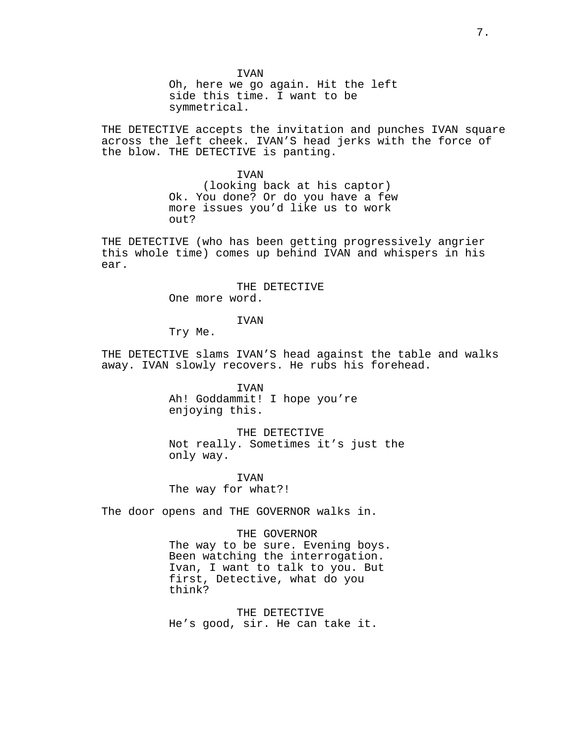IVAN

Oh, here we go again. Hit the left side this time. I want to be symmetrical.

THE DETECTIVE accepts the invitation and punches IVAN square across the left cheek. IVAN'S head jerks with the force of the blow. THE DETECTIVE is panting.

> IVAN (looking back at his captor) Ok. You done? Or do you have a few more issues you'd like us to work out?

THE DETECTIVE (who has been getting progressively angrier this whole time) comes up behind IVAN and whispers in his ear.

> THE DETECTIVE One more word.

> > IVAN

Try Me.

THE DETECTIVE slams IVAN'S head against the table and walks away. IVAN slowly recovers. He rubs his forehead.

> IVAN Ah! Goddammit! I hope you're enjoying this.

THE DETECTIVE Not really. Sometimes it's just the only way.

IVAN The way for what?!

The door opens and THE GOVERNOR walks in.

THE GOVERNOR The way to be sure. Evening boys. Been watching the interrogation. Ivan, I want to talk to you. But first, Detective, what do you think?

THE DETECTIVE He's good, sir. He can take it.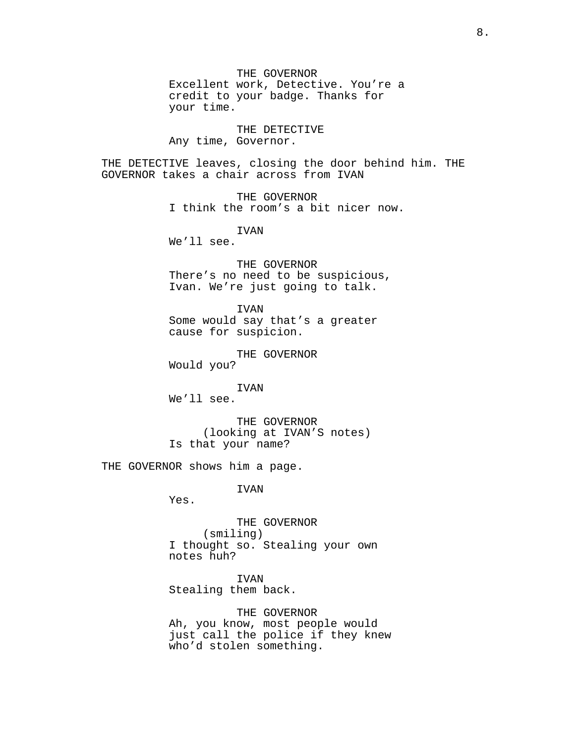THE GOVERNOR Excellent work, Detective. You're a credit to your badge. Thanks for your time.

THE DETECTIVE Any time, Governor.

THE DETECTIVE leaves, closing the door behind him. THE GOVERNOR takes a chair across from IVAN

> THE GOVERNOR I think the room's a bit nicer now.

> > IVAN

We'll see.

THE GOVERNOR There's no need to be suspicious, Ivan. We're just going to talk.

IVAN Some would say that's a greater cause for suspicion.

THE GOVERNOR Would you?

IVAN We'll see.

THE GOVERNOR (looking at IVAN'S notes) Is that your name?

THE GOVERNOR shows him a page.

IVAN

Yes.

THE GOVERNOR (smiling) I thought so. Stealing your own notes huh?

IVAN Stealing them back.

THE GOVERNOR Ah, you know, most people would just call the police if they knew who'd stolen something.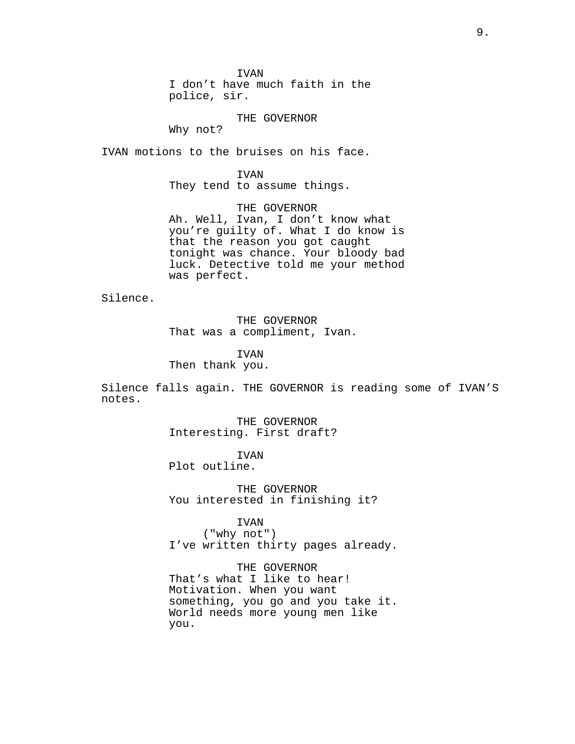IVAN I don't have much faith in the police, sir.

THE GOVERNOR

Why not?

IVAN motions to the bruises on his face.

IVAN They tend to assume things.

THE GOVERNOR Ah. Well, Ivan, I don't know what you're guilty of. What I do know is that the reason you got caught tonight was chance. Your bloody bad luck. Detective told me your method was perfect.

Silence.

THE GOVERNOR That was a compliment, Ivan.

IVAN

Then thank you.

Silence falls again. THE GOVERNOR is reading some of IVAN'S notes.

> THE GOVERNOR Interesting. First draft?

IVAN Plot outline.

THE GOVERNOR You interested in finishing it?

IVAN

("why not") I've written thirty pages already.

THE GOVERNOR That's what I like to hear! Motivation. When you want something, you go and you take it. World needs more young men like you.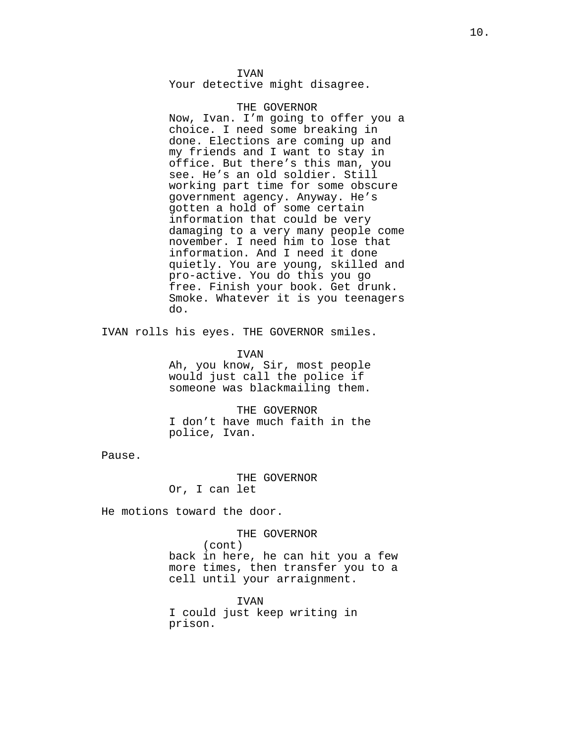#### IVAN

Your detective might disagree.

#### THE GOVERNOR

Now, Ivan. I'm going to offer you a choice. I need some breaking in done. Elections are coming up and my friends and I want to stay in office. But there's this man, you see. He's an old soldier. Still working part time for some obscure government agency. Anyway. He's gotten a hold of some certain information that could be very damaging to a very many people come november. I need him to lose that information. And I need it done quietly. You are young, skilled and pro-active. You do this you go free. Finish your book. Get drunk. Smoke. Whatever it is you teenagers do.

IVAN rolls his eyes. THE GOVERNOR smiles.

IVAN

Ah, you know, Sir, most people would just call the police if someone was blackmailing them.

THE GOVERNOR I don't have much faith in the police, Ivan.

Pause.

THE GOVERNOR Or, I can let

He motions toward the door.

THE GOVERNOR (cont) back in here, he can hit you a few more times, then transfer you to a cell until your arraignment.

IVAN I could just keep writing in prison.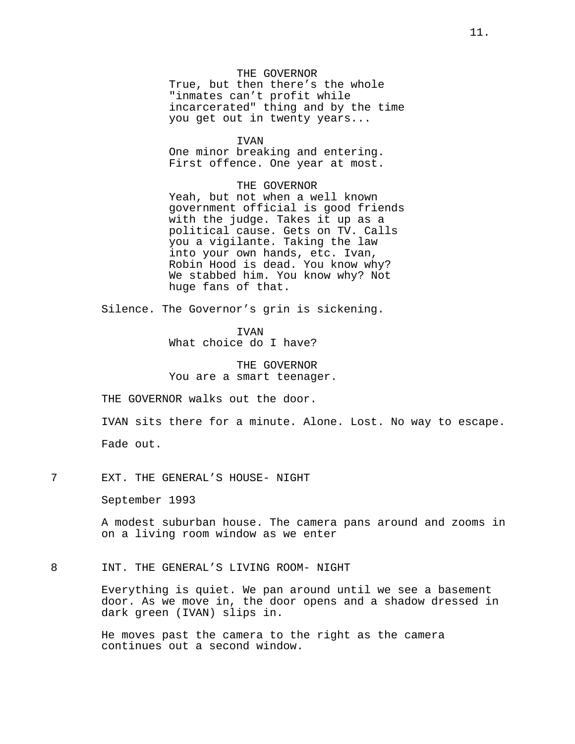### THE GOVERNOR

True, but then there's the whole "inmates can't profit while incarcerated" thing and by the time you get out in twenty years...

IVAN One minor breaking and entering. First offence. One year at most.

### THE GOVERNOR

Yeah, but not when a well known government official is good friends with the judge. Takes it up as a political cause. Gets on TV. Calls you a vigilante. Taking the law into your own hands, etc. Ivan, Robin Hood is dead. You know why? We stabbed him. You know why? Not huge fans of that.

Silence. The Governor's grin is sickening.

IVAN What choice do I have?

THE GOVERNOR You are a smart teenager.

THE GOVERNOR walks out the door.

IVAN sits there for a minute. Alone. Lost. No way to escape.

Fade out.

7 EXT. THE GENERAL'S HOUSE- NIGHT

September 1993

A modest suburban house. The camera pans around and zooms in on a living room window as we enter

8 INT. THE GENERAL'S LIVING ROOM- NIGHT

Everything is quiet. We pan around until we see a basement door. As we move in, the door opens and a shadow dressed in dark green (IVAN) slips in.

He moves past the camera to the right as the camera continues out a second window.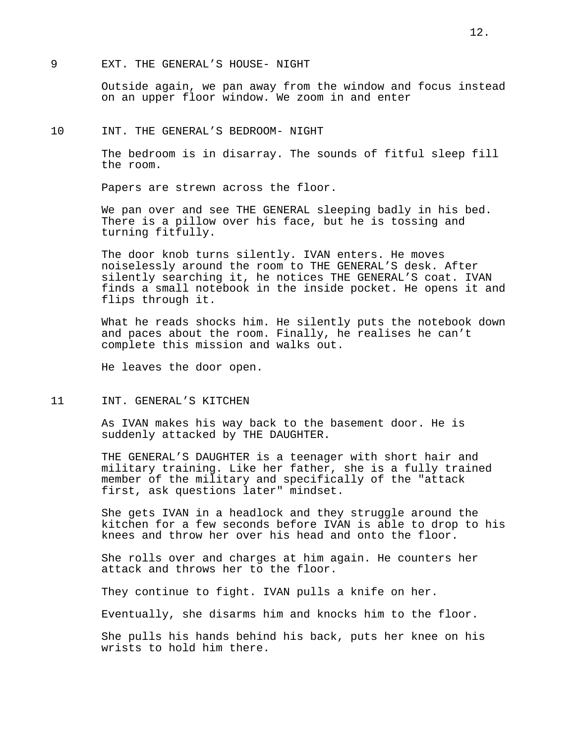#### 9 EXT. THE GENERAL'S HOUSE- NIGHT

Outside again, we pan away from the window and focus instead on an upper floor window. We zoom in and enter

#### 10 INT. THE GENERAL'S BEDROOM- NIGHT

The bedroom is in disarray. The sounds of fitful sleep fill the room.

Papers are strewn across the floor.

We pan over and see THE GENERAL sleeping badly in his bed. There is a pillow over his face, but he is tossing and turning fitfully.

The door knob turns silently. IVAN enters. He moves noiselessly around the room to THE GENERAL'S desk. After silently searching it, he notices THE GENERAL'S coat. IVAN finds a small notebook in the inside pocket. He opens it and flips through it.

What he reads shocks him. He silently puts the notebook down and paces about the room. Finally, he realises he can't complete this mission and walks out.

He leaves the door open.

### 11 INT. GENERAL'S KITCHEN

As IVAN makes his way back to the basement door. He is suddenly attacked by THE DAUGHTER.

THE GENERAL'S DAUGHTER is a teenager with short hair and military training. Like her father, she is a fully trained member of the military and specifically of the "attack first, ask questions later" mindset.

She gets IVAN in a headlock and they struggle around the kitchen for a few seconds before IVAN is able to drop to his knees and throw her over his head and onto the floor.

She rolls over and charges at him again. He counters her attack and throws her to the floor.

They continue to fight. IVAN pulls a knife on her.

Eventually, she disarms him and knocks him to the floor.

She pulls his hands behind his back, puts her knee on his wrists to hold him there.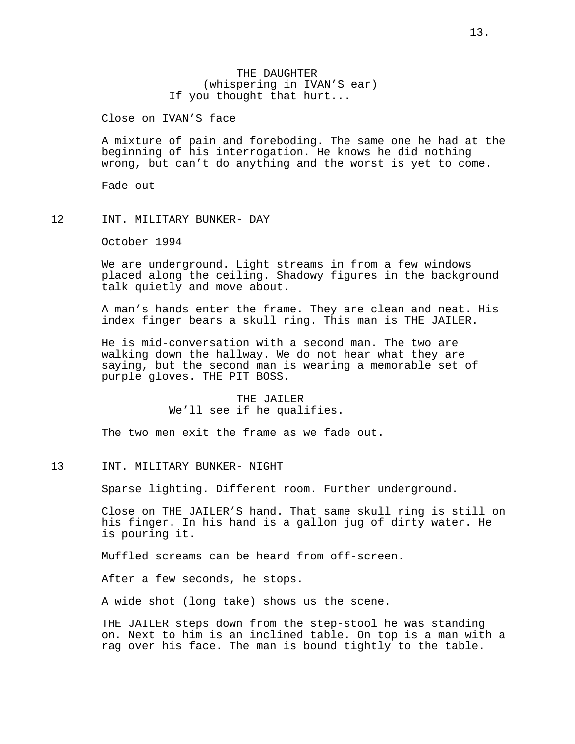# THE DAUGHTER (whispering in IVAN'S ear) If you thought that hurt...

Close on IVAN'S face

A mixture of pain and foreboding. The same one he had at the beginning of his interrogation. He knows he did nothing wrong, but can't do anything and the worst is yet to come.

Fade out

### 12 INT. MILITARY BUNKER- DAY

October 1994

We are underground. Light streams in from a few windows placed along the ceiling. Shadowy figures in the background talk quietly and move about.

A man's hands enter the frame. They are clean and neat. His index finger bears a skull ring. This man is THE JAILER.

He is mid-conversation with a second man. The two are walking down the hallway. We do not hear what they are saying, but the second man is wearing a memorable set of purple gloves. THE PIT BOSS.

> THE JAILER We'll see if he qualifies.

The two men exit the frame as we fade out.

#### 13 INT. MILITARY BUNKER- NIGHT

Sparse lighting. Different room. Further underground.

Close on THE JAILER'S hand. That same skull ring is still on his finger. In his hand is a gallon jug of dirty water. He is pouring it.

Muffled screams can be heard from off-screen.

After a few seconds, he stops.

A wide shot (long take) shows us the scene.

THE JAILER steps down from the step-stool he was standing on. Next to him is an inclined table. On top is a man with a rag over his face. The man is bound tightly to the table.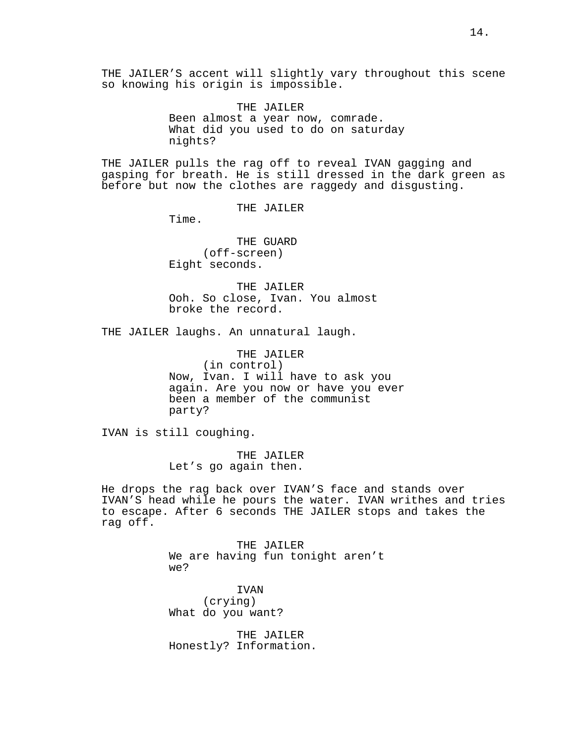THE JAILER'S accent will slightly vary throughout this scene so knowing his origin is impossible.

> THE JAILER Been almost a year now, comrade. What did you used to do on saturday nights?

THE JAILER pulls the rag off to reveal IVAN gagging and gasping for breath. He is still dressed in the dark green as before but now the clothes are raggedy and disgusting.

THE JAILER

Time.

THE GUARD (off-screen) Eight seconds.

THE JAILER Ooh. So close, Ivan. You almost broke the record.

THE JAILER laughs. An unnatural laugh.

THE JAILER (in control) Now, Ivan. I will have to ask you again. Are you now or have you ever been a member of the communist party?

IVAN is still coughing.

THE JAILER Let's go again then.

He drops the rag back over IVAN'S face and stands over IVAN'S head while he pours the water. IVAN writhes and tries to escape. After 6 seconds THE JAILER stops and takes the rag off.

> THE JAILER We are having fun tonight aren't we?

IVAN (crying) What do you want?

THE JAILER Honestly? Information.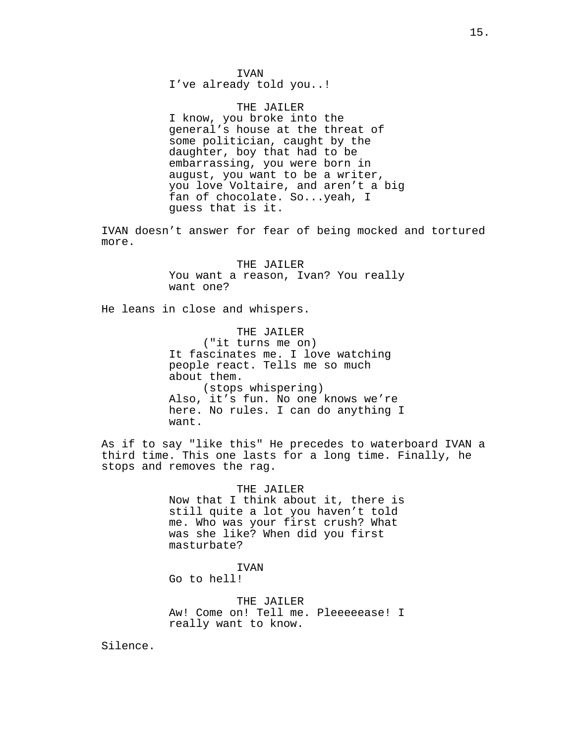IVAN I've already told you..!

THE JAILER I know, you broke into the general's house at the threat of some politician, caught by the daughter, boy that had to be embarrassing, you were born in august, you want to be a writer, you love Voltaire, and aren't a big fan of chocolate. So...yeah, I guess that is it.

IVAN doesn't answer for fear of being mocked and tortured more.

> THE JAILER You want a reason, Ivan? You really want one?

He leans in close and whispers.

THE JAILER ("it turns me on) It fascinates me. I love watching people react. Tells me so much about them. (stops whispering) Also, it's fun. No one knows we're here. No rules. I can do anything I want.

As if to say "like this" He precedes to waterboard IVAN a third time. This one lasts for a long time. Finally, he stops and removes the rag.

> THE JAILER Now that I think about it, there is still quite a lot you haven't told me. Who was your first crush? What was she like? When did you first masturbate?

IVAN Go to hell!

THE JAILER Aw! Come on! Tell me. Pleeeeease! I really want to know.

Silence.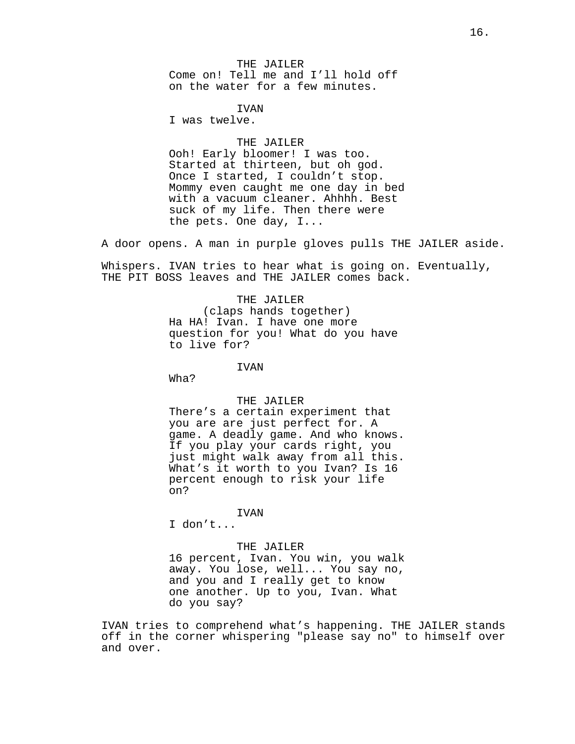THE JAILER Come on! Tell me and I'll hold off on the water for a few minutes.

IVAN I was twelve.

# THE JAILER

Ooh! Early bloomer! I was too. Started at thirteen, but oh god. Once I started, I couldn't stop. Mommy even caught me one day in bed with a vacuum cleaner. Ahhhh. Best suck of my life. Then there were the pets. One day, I...

A door opens. A man in purple gloves pulls THE JAILER aside.

Whispers. IVAN tries to hear what is going on. Eventually, THE PIT BOSS leaves and THE JAILER comes back.

> THE JAILER (claps hands together) Ha HA! Ivan. I have one more question for you! What do you have to live for?

> > IVAN

Wha?

#### THE JAILER

There's a certain experiment that you are are just perfect for. A game. A deadly game. And who knows. If you play your cards right, you just might walk away from all this. What's it worth to you Ivan? Is 16 percent enough to risk your life on?

IVAN

I don't...

THE JAILER

16 percent, Ivan. You win, you walk away. You lose, well... You say no, and you and I really get to know one another. Up to you, Ivan. What do you say?

IVAN tries to comprehend what's happening. THE JAILER stands off in the corner whispering "please say no" to himself over and over.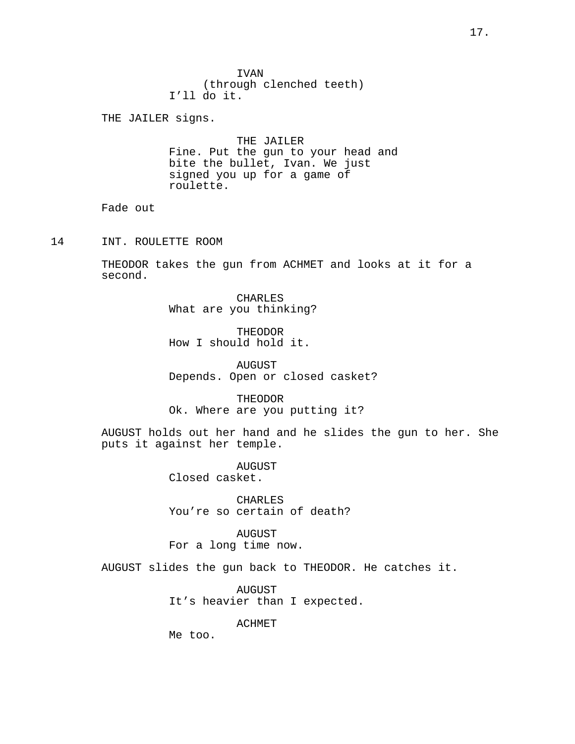IVAN (through clenched teeth) I'll do it.

THE JAILER signs.

THE JAILER Fine. Put the gun to your head and bite the bullet, Ivan. We just signed you up for a game of roulette.

Fade out

14 INT. ROULETTE ROOM

THEODOR takes the gun from ACHMET and looks at it for a second.

> CHARLES What are you thinking?

THEODOR How I should hold it.

AUGUST Depends. Open or closed casket?

THEODOR Ok. Where are you putting it?

AUGUST holds out her hand and he slides the gun to her. She puts it against her temple.

> AUGUST Closed casket.

CHARLES You're so certain of death?

AUGUST For a long time now.

AUGUST slides the gun back to THEODOR. He catches it.

AUGUST It's heavier than I expected.

ACHMET

Me too.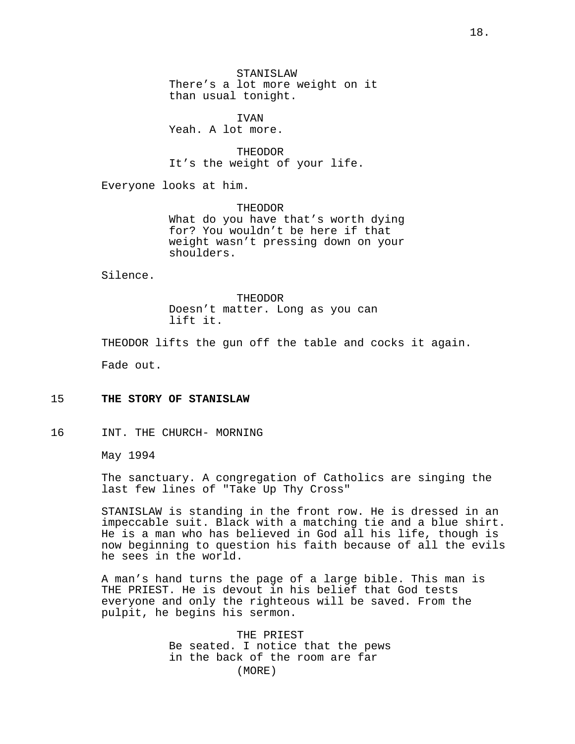STANISLAW There's a lot more weight on it than usual tonight.

IVAN Yeah. A lot more.

**THEODOR** It's the weight of your life.

Everyone looks at him.

THEODOR What do you have that's worth dying for? You wouldn't be here if that weight wasn't pressing down on your shoulders.

Silence.

THEODOR Doesn't matter. Long as you can lift it.

THEODOR lifts the gun off the table and cocks it again.

Fade out.

### 15 **THE STORY OF STANISLAW**

16 INT. THE CHURCH- MORNING

May 1994

The sanctuary. A congregation of Catholics are singing the last few lines of "Take Up Thy Cross"

STANISLAW is standing in the front row. He is dressed in an impeccable suit. Black with a matching tie and a blue shirt. He is a man who has believed in God all his life, though is now beginning to question his faith because of all the evils he sees in the world.

A man's hand turns the page of a large bible. This man is THE PRIEST. He is devout in his belief that God tests everyone and only the righteous will be saved. From the pulpit, he begins his sermon.

> THE PRIEST Be seated. I notice that the pews in the back of the room are far (MORE)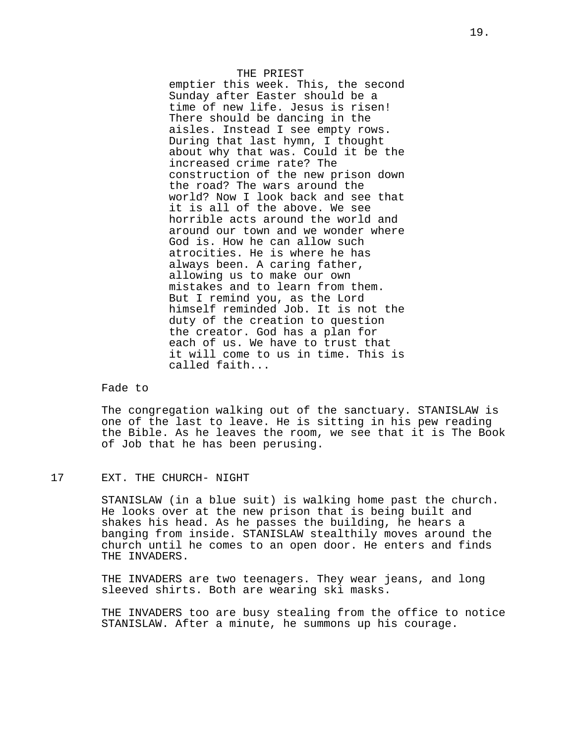THE PRIEST emptier this week. This, the second Sunday after Easter should be a time of new life. Jesus is risen! There should be dancing in the aisles. Instead I see empty rows. During that last hymn, I thought about why that was. Could it be the increased crime rate? The construction of the new prison down the road? The wars around the world? Now I look back and see that it is all of the above. We see horrible acts around the world and around our town and we wonder where God is. How he can allow such atrocities. He is where he has always been. A caring father, allowing us to make our own mistakes and to learn from them. But I remind you, as the Lord himself reminded Job. It is not the duty of the creation to question the creator. God has a plan for each of us. We have to trust that it will come to us in time. This is called faith...

### Fade to

The congregation walking out of the sanctuary. STANISLAW is one of the last to leave. He is sitting in his pew reading the Bible. As he leaves the room, we see that it is The Book of Job that he has been perusing.

## 17 EXT. THE CHURCH- NIGHT

STANISLAW (in a blue suit) is walking home past the church. He looks over at the new prison that is being built and shakes his head. As he passes the building, he hears a banging from inside. STANISLAW stealthily moves around the church until he comes to an open door. He enters and finds THE INVADERS.

THE INVADERS are two teenagers. They wear jeans, and long sleeved shirts. Both are wearing ski masks.

THE INVADERS too are busy stealing from the office to notice STANISLAW. After a minute, he summons up his courage.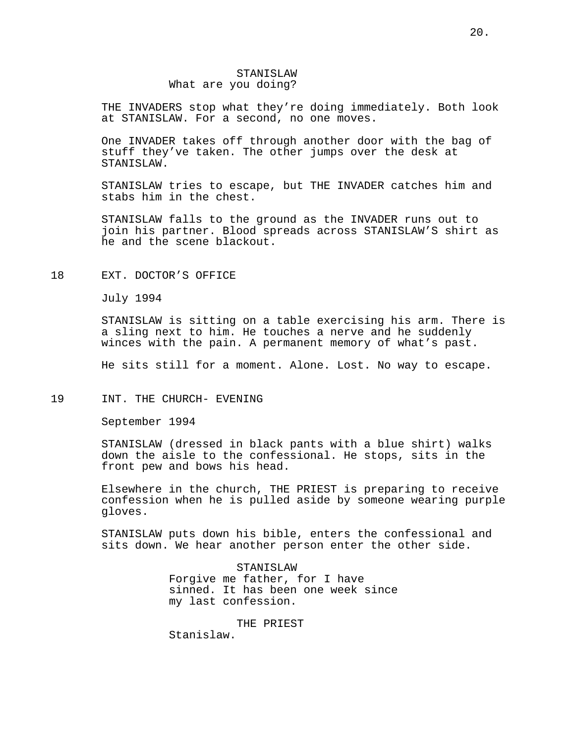THE INVADERS stop what they're doing immediately. Both look at STANISLAW. For a second, no one moves.

One INVADER takes off through another door with the bag of stuff they've taken. The other jumps over the desk at STANISLAW.

STANISLAW tries to escape, but THE INVADER catches him and stabs him in the chest.

STANISLAW falls to the ground as the INVADER runs out to join his partner. Blood spreads across STANISLAW'S shirt as he and the scene blackout.

#### 18 EXT. DOCTOR'S OFFICE

July 1994

STANISLAW is sitting on a table exercising his arm. There is a sling next to him. He touches a nerve and he suddenly winces with the pain. A permanent memory of what's past.

He sits still for a moment. Alone. Lost. No way to escape.

### 19 INT. THE CHURCH- EVENING

September 1994

STANISLAW (dressed in black pants with a blue shirt) walks down the aisle to the confessional. He stops, sits in the front pew and bows his head.

Elsewhere in the church, THE PRIEST is preparing to receive confession when he is pulled aside by someone wearing purple gloves.

STANISLAW puts down his bible, enters the confessional and sits down. We hear another person enter the other side.

> STANISLAW Forgive me father, for I have sinned. It has been one week since my last confession.

> > THE PRIEST

Stanislaw.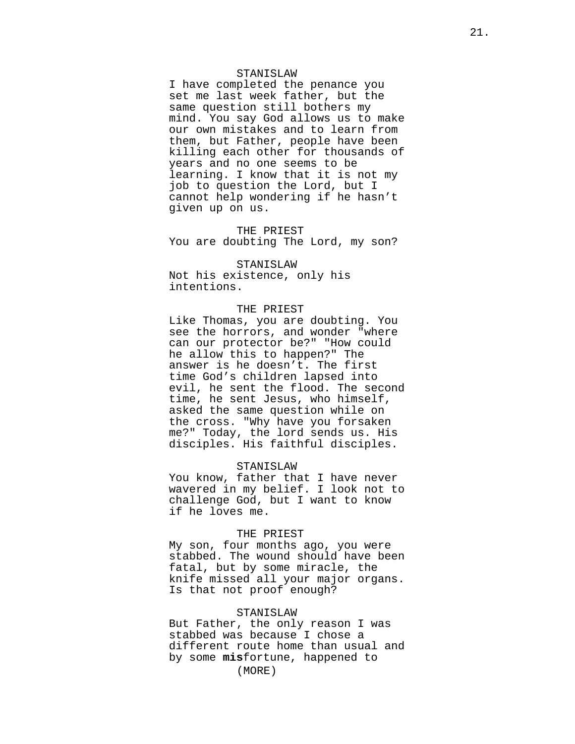#### STANISLAW

I have completed the penance you set me last week father, but the same question still bothers my mind. You say God allows us to make our own mistakes and to learn from them, but Father, people have been killing each other for thousands of years and no one seems to be learning. I know that it is not my job to question the Lord, but I cannot help wondering if he hasn't given up on us.

THE PRIEST You are doubting The Lord, my son?

#### STANISLAW

Not his existence, only his intentions.

### THE PRIEST

Like Thomas, you are doubting. You see the horrors, and wonder "where can our protector be?" "How could he allow this to happen?" The answer is he doesn't. The first time God's children lapsed into evil, he sent the flood. The second time, he sent Jesus, who himself, asked the same question while on the cross. "Why have you forsaken me?" Today, the lord sends us. His disciples. His faithful disciples.

#### STANISLAW

You know, father that I have never wavered in my belief. I look not to challenge God, but I want to know if he loves me.

#### THE PRIEST

My son, four months ago, you were stabbed. The wound should have been fatal, but by some miracle, the knife missed all your major organs. Is that not proof enough?

### STANISLAW

But Father, the only reason I was stabbed was because I chose a different route home than usual and by some **mis**fortune, happened to (MORE)

21.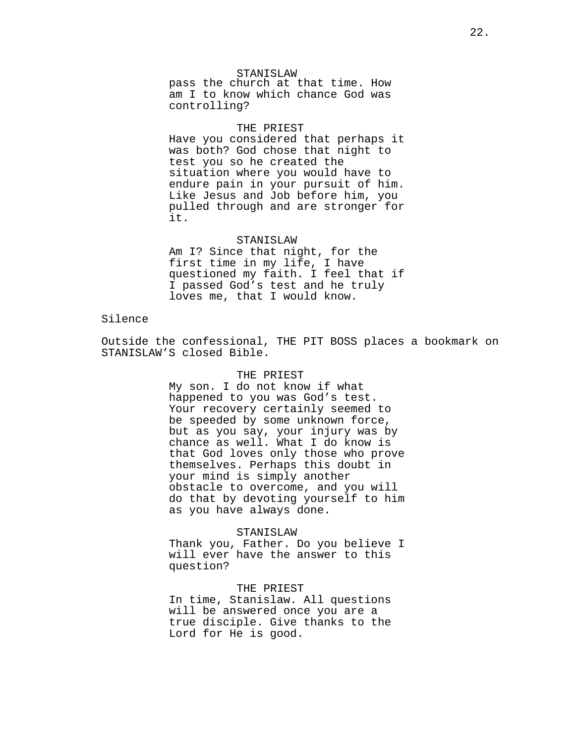STANISLAW pass the church at that time. How am I to know which chance God was controlling?

#### THE PRIEST

Have you considered that perhaps it was both? God chose that night to test you so he created the situation where you would have to endure pain in your pursuit of him. Like Jesus and Job before him, you pulled through and are stronger for it.

#### STANISLAW

Am I? Since that night, for the first time in my life, I have questioned my faith. I feel that if I passed God's test and he truly loves me, that I would know.

## Silence

Outside the confessional, THE PIT BOSS places a bookmark on STANISLAW'S closed Bible.

### THE PRIEST

My son. I do not know if what happened to you was God's test. Your recovery certainly seemed to be speeded by some unknown force, but as you say, your injury was by chance as well. What I do know is that God loves only those who prove themselves. Perhaps this doubt in your mind is simply another obstacle to overcome, and you will do that by devoting yourself to him as you have always done.

#### STANISLAW

Thank you, Father. Do you believe I will ever have the answer to this question?

# THE PRIEST

In time, Stanislaw. All questions will be answered once you are a true disciple. Give thanks to the Lord for He is good.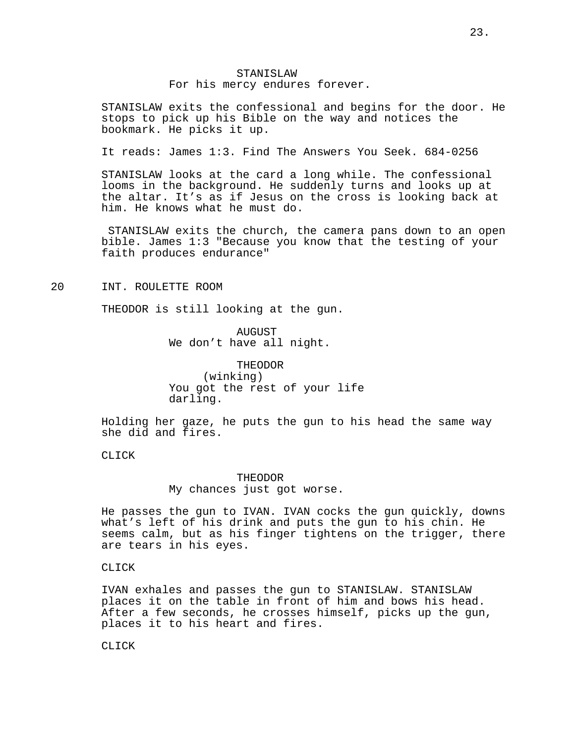### STANISLAW For his mercy endures forever.

STANISLAW exits the confessional and begins for the door. He stops to pick up his Bible on the way and notices the bookmark. He picks it up.

It reads: James 1:3. Find The Answers You Seek. 684-0256

STANISLAW looks at the card a long while. The confessional looms in the background. He suddenly turns and looks up at the altar. It's as if Jesus on the cross is looking back at him. He knows what he must do.

STANISLAW exits the church, the camera pans down to an open bible. James 1:3 "Because you know that the testing of your faith produces endurance"

# 20 INT. ROULETTE ROOM

THEODOR is still looking at the gun.

AUGUST We don't have all night.

THEODOR (winking) You got the rest of your life darling.

Holding her gaze, he puts the gun to his head the same way she did and fires.

CLICK

THEODOR My chances just got worse.

He passes the gun to IVAN. IVAN cocks the gun quickly, downs what's left of his drink and puts the gun to his chin. He seems calm, but as his finger tightens on the trigger, there are tears in his eyes.

### CLICK

IVAN exhales and passes the gun to STANISLAW. STANISLAW places it on the table in front of him and bows his head. After a few seconds, he crosses himself, picks up the gun, places it to his heart and fires.

CLICK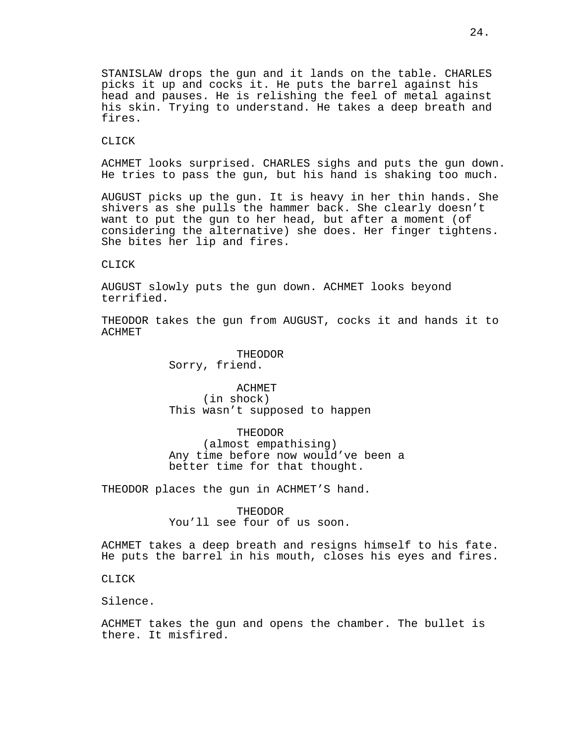STANISLAW drops the gun and it lands on the table. CHARLES picks it up and cocks it. He puts the barrel against his head and pauses. He is relishing the feel of metal against his skin. Trying to understand. He takes a deep breath and fires.

CLICK

ACHMET looks surprised. CHARLES sighs and puts the gun down. He tries to pass the gun, but his hand is shaking too much.

AUGUST picks up the gun. It is heavy in her thin hands. She shivers as she pulls the hammer back. She clearly doesn't want to put the gun to her head, but after a moment (of considering the alternative) she does. Her finger tightens. She bites her lip and fires.

CLICK

AUGUST slowly puts the gun down. ACHMET looks beyond terrified.

THEODOR takes the gun from AUGUST, cocks it and hands it to ACHMET

> THEODOR Sorry, friend.

ACHMET (in shock) This wasn't supposed to happen

THEODOR

(almost empathising) Any time before now would've been a better time for that thought.

THEODOR places the gun in ACHMET'S hand.

THEODOR You'll see four of us soon.

ACHMET takes a deep breath and resigns himself to his fate. He puts the barrel in his mouth, closes his eyes and fires.

CLICK

Silence.

ACHMET takes the gun and opens the chamber. The bullet is there. It misfired.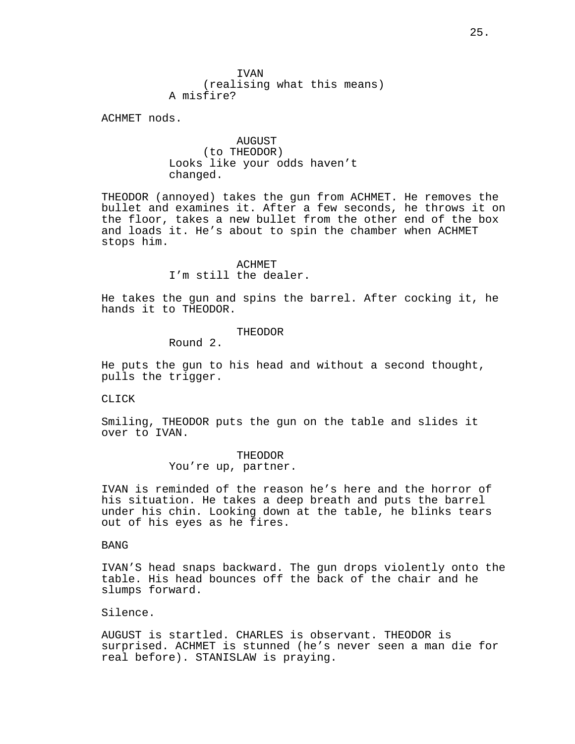IVAN (realising what this means) A misfire?

ACHMET nods.

# AUGUST (to THEODOR) Looks like your odds haven't changed.

THEODOR (annoyed) takes the gun from ACHMET. He removes the bullet and examines it. After a few seconds, he throws it on the floor, takes a new bullet from the other end of the box and loads it. He's about to spin the chamber when ACHMET stops him.

> ACHMET I'm still the dealer.

He takes the gun and spins the barrel. After cocking it, he hands it to THEODOR.

### THEODOR

Round 2.

He puts the gun to his head and without a second thought, pulls the trigger.

CLICK

Smiling, THEODOR puts the gun on the table and slides it over to IVAN.

> THEODOR You're up, partner.

IVAN is reminded of the reason he's here and the horror of his situation. He takes a deep breath and puts the barrel under his chin. Looking down at the table, he blinks tears out of his eyes as he fires.

BANG

IVAN'S head snaps backward. The gun drops violently onto the table. His head bounces off the back of the chair and he slumps forward.

Silence.

AUGUST is startled. CHARLES is observant. THEODOR is surprised. ACHMET is stunned (he's never seen a man die for real before). STANISLAW is praying.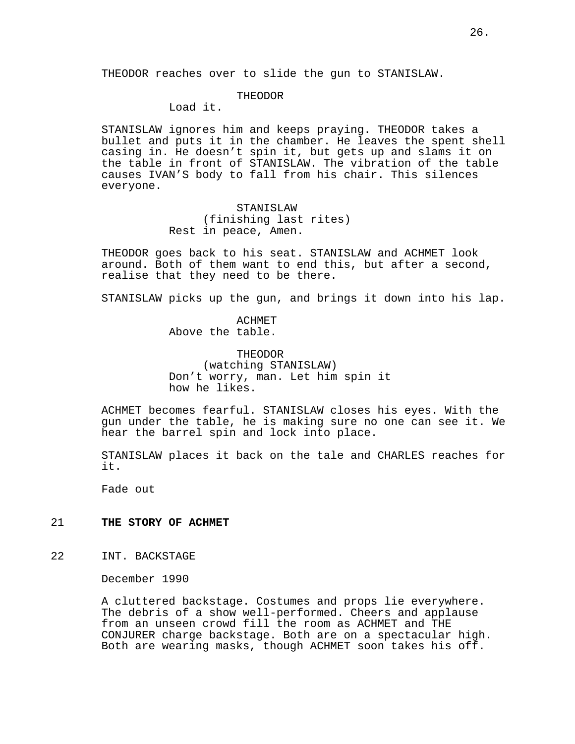#### THEODOR

Load it.

STANISLAW ignores him and keeps praying. THEODOR takes a bullet and puts it in the chamber. He leaves the spent shell casing in. He doesn't spin it, but gets up and slams it on the table in front of STANISLAW. The vibration of the table causes IVAN'S body to fall from his chair. This silences everyone.

# STANISLAW (finishing last rites) Rest in peace, Amen.

THEODOR goes back to his seat. STANISLAW and ACHMET look around. Both of them want to end this, but after a second, realise that they need to be there.

STANISLAW picks up the gun, and brings it down into his lap.

ACHMET Above the table.

THEODOR (watching STANISLAW) Don't worry, man. Let him spin it how he likes.

ACHMET becomes fearful. STANISLAW closes his eyes. With the gun under the table, he is making sure no one can see it. We hear the barrel spin and lock into place.

STANISLAW places it back on the tale and CHARLES reaches for it.

Fade out

### 21 **THE STORY OF ACHMET**

22 INT. BACKSTAGE

December 1990

A cluttered backstage. Costumes and props lie everywhere. The debris of a show well-performed. Cheers and applause from an unseen crowd fill the room as ACHMET and THE CONJURER charge backstage. Both are on a spectacular high. Both are wearing masks, though ACHMET soon takes his off.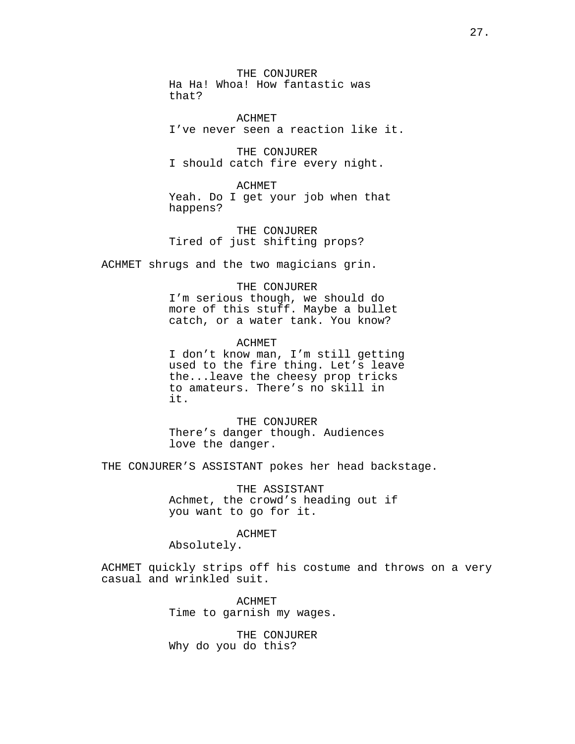THE CONJURER Ha Ha! Whoa! How fantastic was that?

ACHMET I've never seen a reaction like it.

THE CONJURER I should catch fire every night.

ACHMET Yeah. Do I get your job when that happens?

THE CONJURER Tired of just shifting props?

ACHMET shrugs and the two magicians grin.

THE CONJURER I'm serious though, we should do more of this stuff. Maybe a bullet catch, or a water tank. You know?

ACHMET I don't know man, I'm still getting used to the fire thing. Let's leave the...leave the cheesy prop tricks to amateurs. There's no skill in it.

THE CONJURER There's danger though. Audiences love the danger.

THE CONJURER'S ASSISTANT pokes her head backstage.

THE ASSISTANT Achmet, the crowd's heading out if you want to go for it.

### ACHMET

Absolutely.

ACHMET quickly strips off his costume and throws on a very casual and wrinkled suit.

> ACHMET Time to garnish my wages.

THE CONJURER Why do you do this?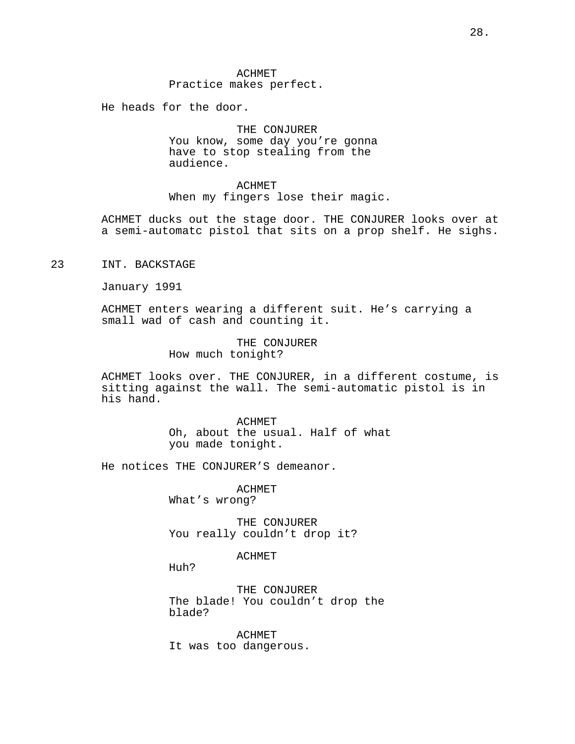ACHMET Practice makes perfect.

He heads for the door.

THE CONJURER You know, some day you're gonna have to stop stealing from the audience.

ACHMET When my fingers lose their magic.

ACHMET ducks out the stage door. THE CONJURER looks over at a semi-automatc pistol that sits on a prop shelf. He sighs.

23 INT. BACKSTAGE

January 1991

ACHMET enters wearing a different suit. He's carrying a small wad of cash and counting it.

> THE CONJURER How much tonight?

ACHMET looks over. THE CONJURER, in a different costume, is sitting against the wall. The semi-automatic pistol is in his hand.

> ACHMET Oh, about the usual. Half of what you made tonight.

He notices THE CONJURER'S demeanor.

ACHMET What's wrong?

THE CONJURER You really couldn't drop it?

ACHMET

Huh?

THE CONJURER The blade! You couldn't drop the blade?

ACHMET It was too dangerous.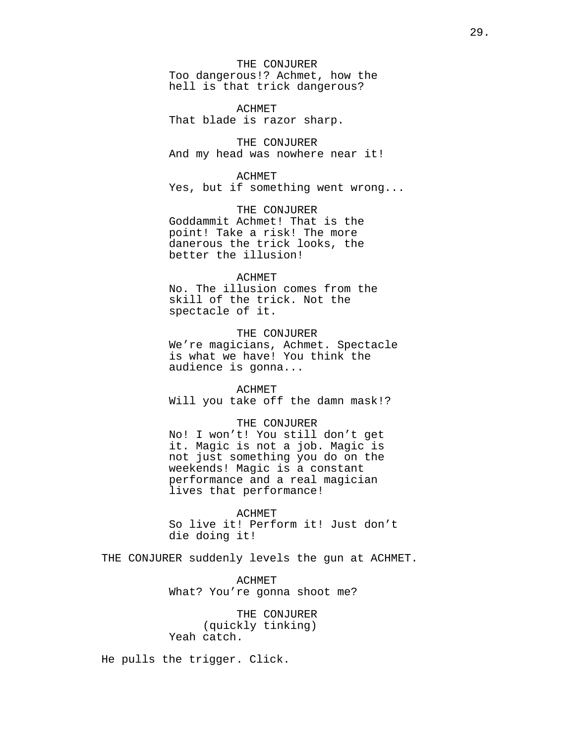### THE CONJURER

Too dangerous!? Achmet, how the hell is that trick dangerous?

ACHMET That blade is razor sharp.

THE CONJURER And my head was nowhere near it!

ACHMET Yes, but if something went wrong...

THE CONJURER Goddammit Achmet! That is the point! Take a risk! The more danerous the trick looks, the better the illusion!

#### ACHMET

No. The illusion comes from the skill of the trick. Not the spectacle of it.

THE CONJURER We're magicians, Achmet. Spectacle is what we have! You think the audience is gonna...

ACHMET Will you take off the damn mask!?

### THE CONJURER

No! I won't! You still don't get it. Magic is not a job. Magic is not just something you do on the weekends! Magic is a constant performance and a real magician lives that performance!

ACHMET So live it! Perform it! Just don't die doing it!

THE CONJURER suddenly levels the gun at ACHMET.

ACHMET What? You're gonna shoot me?

THE CONJURER (quickly tinking) Yeah catch.

He pulls the trigger. Click.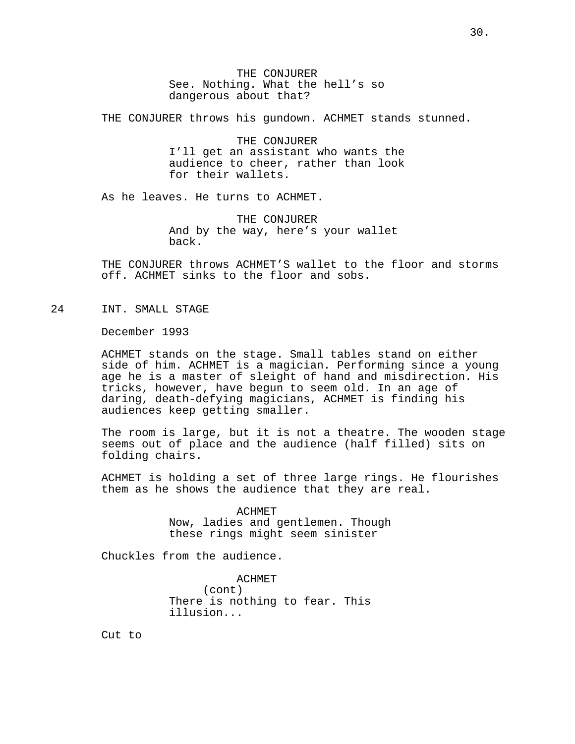THE CONJURER See. Nothing. What the hell's so dangerous about that?

THE CONJURER throws his gundown. ACHMET stands stunned.

THE CONJURER I'll get an assistant who wants the audience to cheer, rather than look for their wallets.

As he leaves. He turns to ACHMET.

THE CONJURER And by the way, here's your wallet back.

THE CONJURER throws ACHMET'S wallet to the floor and storms off. ACHMET sinks to the floor and sobs.

24 INT. SMALL STAGE

December 1993

ACHMET stands on the stage. Small tables stand on either side of him. ACHMET is a magician. Performing since a young age he is a master of sleight of hand and misdirection. His tricks, however, have begun to seem old. In an age of daring, death-defying magicians, ACHMET is finding his audiences keep getting smaller.

The room is large, but it is not a theatre. The wooden stage seems out of place and the audience (half filled) sits on folding chairs.

ACHMET is holding a set of three large rings. He flourishes them as he shows the audience that they are real.

> ACHMET Now, ladies and gentlemen. Though these rings might seem sinister

Chuckles from the audience.

ACHMET (cont) There is nothing to fear. This illusion...

Cut to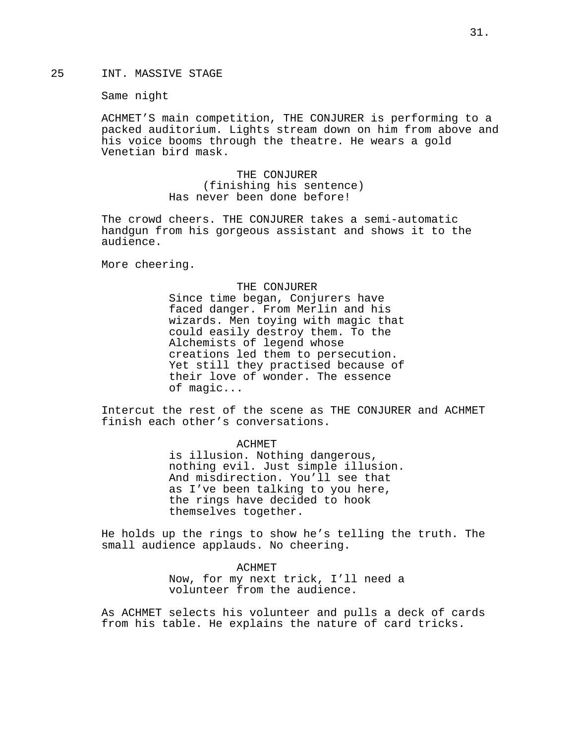Same night

ACHMET'S main competition, THE CONJURER is performing to a packed auditorium. Lights stream down on him from above and his voice booms through the theatre. He wears a gold Venetian bird mask.

> THE CONJURER (finishing his sentence) Has never been done before!

The crowd cheers. THE CONJURER takes a semi-automatic handgun from his gorgeous assistant and shows it to the audience.

More cheering.

#### THE CONJURER

Since time began, Conjurers have faced danger. From Merlin and his wizards. Men toying with magic that could easily destroy them. To the Alchemists of legend whose creations led them to persecution. Yet still they practised because of their love of wonder. The essence of magic...

Intercut the rest of the scene as THE CONJURER and ACHMET finish each other's conversations.

ACHMET

is illusion. Nothing dangerous, nothing evil. Just simple illusion. And misdirection. You'll see that as I've been talking to you here, the rings have decided to hook themselves together.

He holds up the rings to show he's telling the truth. The small audience applauds. No cheering.

> ACHMET Now, for my next trick, I'll need a volunteer from the audience.

As ACHMET selects his volunteer and pulls a deck of cards from his table. He explains the nature of card tricks.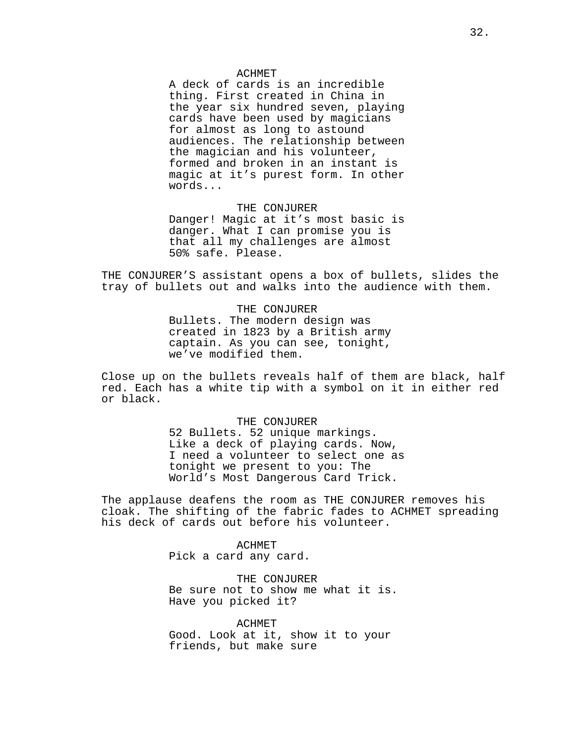#### ACHMET

A deck of cards is an incredible thing. First created in China in the year six hundred seven, playing cards have been used by magicians for almost as long to astound audiences. The relationship between the magician and his volunteer, formed and broken in an instant is magic at it's purest form. In other words...

THE CONJURER Danger! Magic at it's most basic is danger. What I can promise you is that all my challenges are almost 50% safe. Please.

THE CONJURER'S assistant opens a box of bullets, slides the tray of bullets out and walks into the audience with them.

#### THE CONJURER

Bullets. The modern design was created in 1823 by a British army captain. As you can see, tonight, we've modified them.

Close up on the bullets reveals half of them are black, half red. Each has a white tip with a symbol on it in either red or black.

> THE CONJURER 52 Bullets. 52 unique markings. Like a deck of playing cards. Now, I need a volunteer to select one as tonight we present to you: The World's Most Dangerous Card Trick.

The applause deafens the room as THE CONJURER removes his cloak. The shifting of the fabric fades to ACHMET spreading his deck of cards out before his volunteer.

> ACHMET Pick a card any card.

THE CONJURER Be sure not to show me what it is. Have you picked it?

ACHMET Good. Look at it, show it to your friends, but make sure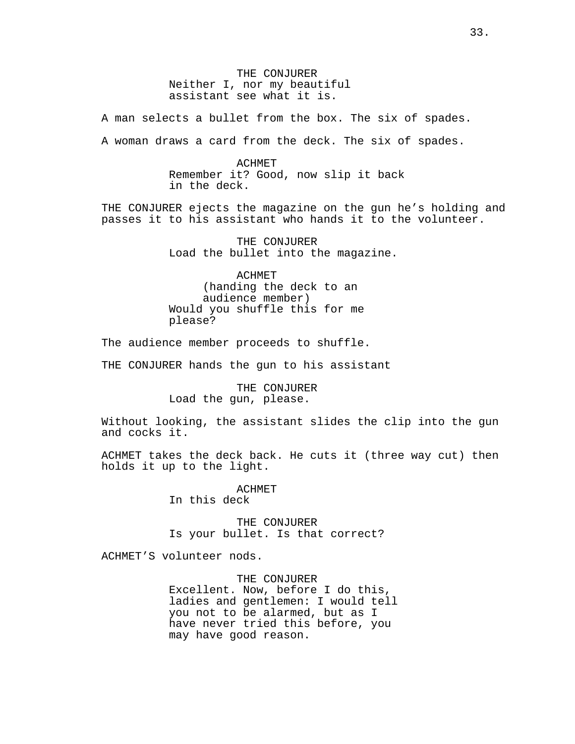THE CONJURER Neither I, nor my beautiful assistant see what it is.

A man selects a bullet from the box. The six of spades.

A woman draws a card from the deck. The six of spades.

ACHMET Remember it? Good, now slip it back in the deck.

THE CONJURER ejects the magazine on the gun he's holding and passes it to his assistant who hands it to the volunteer.

> THE CONJURER Load the bullet into the magazine.

ACHMET (handing the deck to an audience member) Would you shuffle this for me please?

The audience member proceeds to shuffle.

THE CONJURER hands the gun to his assistant

THE CONJURER Load the gun, please.

Without looking, the assistant slides the clip into the gun and cocks it.

ACHMET takes the deck back. He cuts it (three way cut) then holds it up to the light.

> ACHMET In this deck

THE CONJURER Is your bullet. Is that correct?

ACHMET'S volunteer nods.

THE CONJURER Excellent. Now, before I do this, ladies and gentlemen: I would tell you not to be alarmed, but as I have never tried this before, you may have good reason.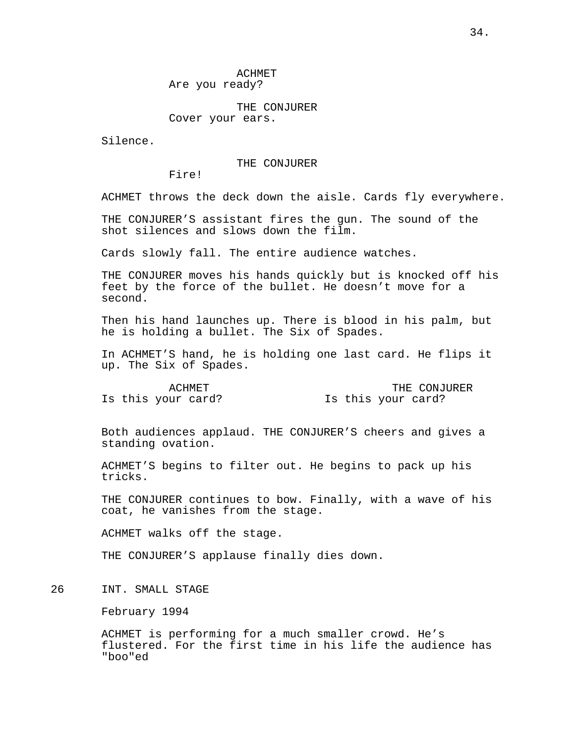THE CONJURER Cover your ears.

Silence.

THE CONJURER

Fire!

ACHMET throws the deck down the aisle. Cards fly everywhere.

THE CONJURER'S assistant fires the gun. The sound of the shot silences and slows down the film.

Cards slowly fall. The entire audience watches.

THE CONJURER moves his hands quickly but is knocked off his feet by the force of the bullet. He doesn't move for a second.

Then his hand launches up. There is blood in his palm, but he is holding a bullet. The Six of Spades.

In ACHMET'S hand, he is holding one last card. He flips it up. The Six of Spades.

ACHMET Is this your card?

THE CONJURER Is this your card?

Both audiences applaud. THE CONJURER'S cheers and gives a standing ovation.

ACHMET'S begins to filter out. He begins to pack up his tricks.

THE CONJURER continues to bow. Finally, with a wave of his coat, he vanishes from the stage.

ACHMET walks off the stage.

THE CONJURER'S applause finally dies down.

26 INT. SMALL STAGE

February 1994

ACHMET is performing for a much smaller crowd. He's flustered. For the first time in his life the audience has "boo"ed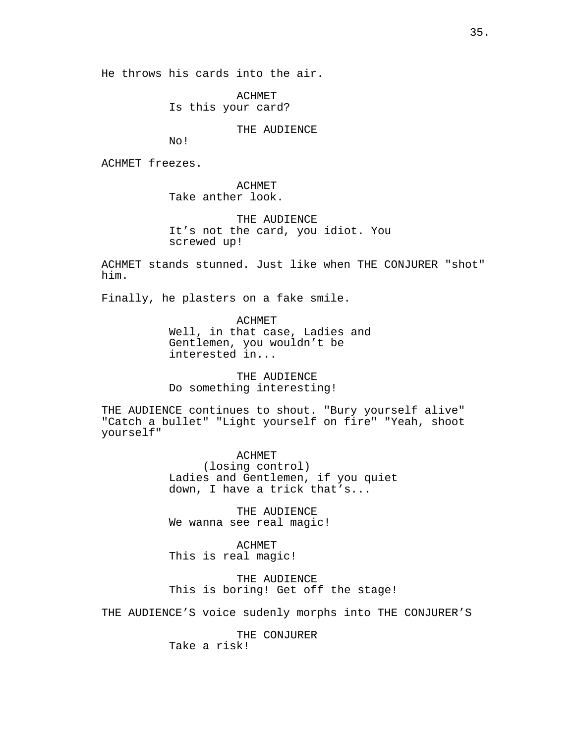He throws his cards into the air.

ACHMET Is this your card?

THE AUDIENCE

No!

ACHMET freezes.

ACHMET Take anther look.

THE AUDIENCE It's not the card, you idiot. You screwed up!

ACHMET stands stunned. Just like when THE CONJURER "shot" him.

Finally, he plasters on a fake smile.

ACHMET Well, in that case, Ladies and Gentlemen, you wouldn't be interested in...

THE AUDIENCE Do something interesting!

THE AUDIENCE continues to shout. "Bury yourself alive" "Catch a bullet" "Light yourself on fire" "Yeah, shoot yourself"

> ACHMET (losing control) Ladies and Gentlemen, if you quiet down, I have a trick that's...

THE AUDIENCE We wanna see real magic!

ACHMET This is real magic!

THE AUDIENCE This is boring! Get off the stage!

THE AUDIENCE'S voice sudenly morphs into THE CONJURER'S

THE CONJURER Take a risk!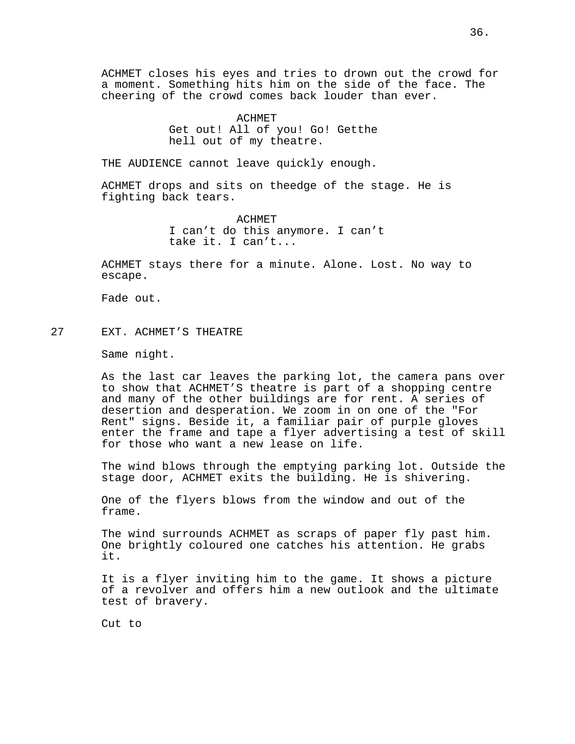ACHMET closes his eyes and tries to drown out the crowd for a moment. Something hits him on the side of the face. The cheering of the crowd comes back louder than ever.

> ACHMET Get out! All of you! Go! Getthe hell out of my theatre.

THE AUDIENCE cannot leave quickly enough.

ACHMET drops and sits on theedge of the stage. He is fighting back tears.

> ACHMET I can't do this anymore. I can't take it. I can't...

ACHMET stays there for a minute. Alone. Lost. No way to escape.

Fade out.

# 27 EXT. ACHMET'S THEATRE

Same night.

As the last car leaves the parking lot, the camera pans over to show that ACHMET'S theatre is part of a shopping centre and many of the other buildings are for rent. A series of desertion and desperation. We zoom in on one of the "For Rent" signs. Beside it, a familiar pair of purple gloves enter the frame and tape a flyer advertising a test of skill for those who want a new lease on life.

The wind blows through the emptying parking lot. Outside the stage door, ACHMET exits the building. He is shivering.

One of the flyers blows from the window and out of the frame.

The wind surrounds ACHMET as scraps of paper fly past him. One brightly coloured one catches his attention. He grabs it.

It is a flyer inviting him to the game. It shows a picture of a revolver and offers him a new outlook and the ultimate test of bravery.

Cut to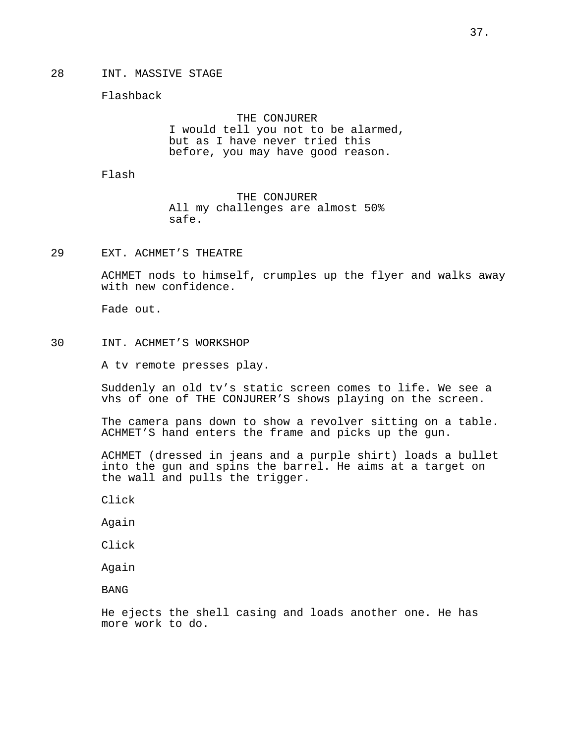Flashback

THE CONJURER I would tell you not to be alarmed, but as I have never tried this before, you may have good reason.

Flash

THE CONJURER All my challenges are almost 50% safe.

29 EXT. ACHMET'S THEATRE

ACHMET nods to himself, crumples up the flyer and walks away with new confidence.

Fade out.

30 INT. ACHMET'S WORKSHOP

A tv remote presses play.

Suddenly an old tv's static screen comes to life. We see a vhs of one of THE CONJURER'S shows playing on the screen.

The camera pans down to show a revolver sitting on a table. ACHMET'S hand enters the frame and picks up the gun.

ACHMET (dressed in jeans and a purple shirt) loads a bullet into the gun and spins the barrel. He aims at a target on the wall and pulls the trigger.

Click

Again

Click

Again

BANG

He ejects the shell casing and loads another one. He has more work to do.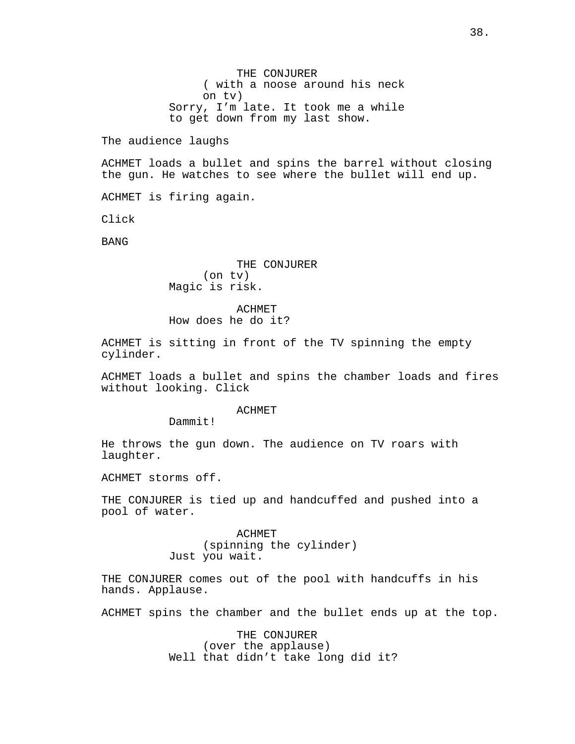THE CONJURER ( with a noose around his neck on tv) Sorry, I'm late. It took me a while to get down from my last show.

The audience laughs

ACHMET loads a bullet and spins the barrel without closing the gun. He watches to see where the bullet will end up.

ACHMET is firing again.

Click

BANG

THE CONJURER (on tv) Magic is risk.

ACHMET How does he do it?

ACHMET is sitting in front of the TV spinning the empty cylinder.

ACHMET loads a bullet and spins the chamber loads and fires without looking. Click

#### ACHMET

Dammit!

He throws the gun down. The audience on TV roars with laughter.

ACHMET storms off.

THE CONJURER is tied up and handcuffed and pushed into a pool of water.

> ACHMET (spinning the cylinder) Just you wait.

THE CONJURER comes out of the pool with handcuffs in his hands. Applause.

ACHMET spins the chamber and the bullet ends up at the top.

THE CONJURER (over the applause) Well that didn't take long did it?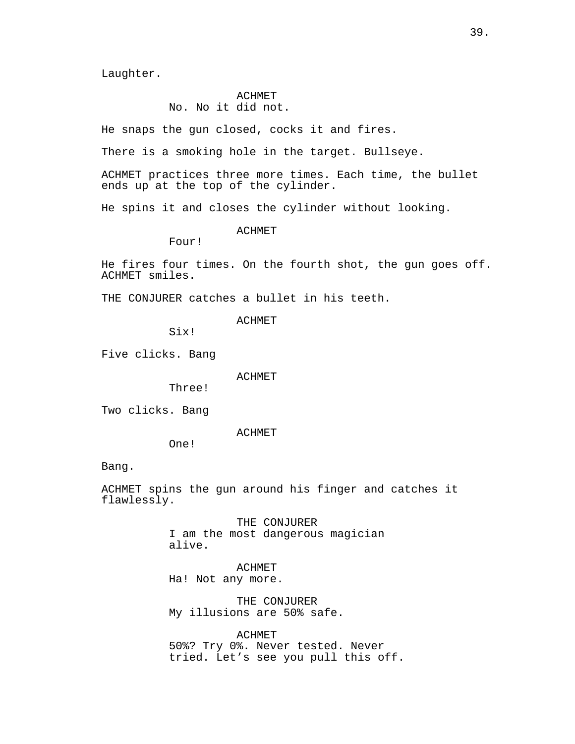Laughter.

# ACHMET No. No it did not.

He snaps the gun closed, cocks it and fires.

There is a smoking hole in the target. Bullseye.

ACHMET practices three more times. Each time, the bullet ends up at the top of the cylinder.

He spins it and closes the cylinder without looking.

ACHMET

Four!

He fires four times. On the fourth shot, the gun goes off. ACHMET smiles.

THE CONJURER catches a bullet in his teeth.

**ACHMET** 

Six!

Five clicks. Bang

ACHMET

Three!

Two clicks. Bang

ACHMET

One!

Bang.

ACHMET spins the gun around his finger and catches it flawlessly.

> THE CONJURER I am the most dangerous magician alive.

ACHMET Ha! Not any more.

THE CONJURER My illusions are 50% safe.

ACHMET 50%? Try 0%. Never tested. Never tried. Let's see you pull this off.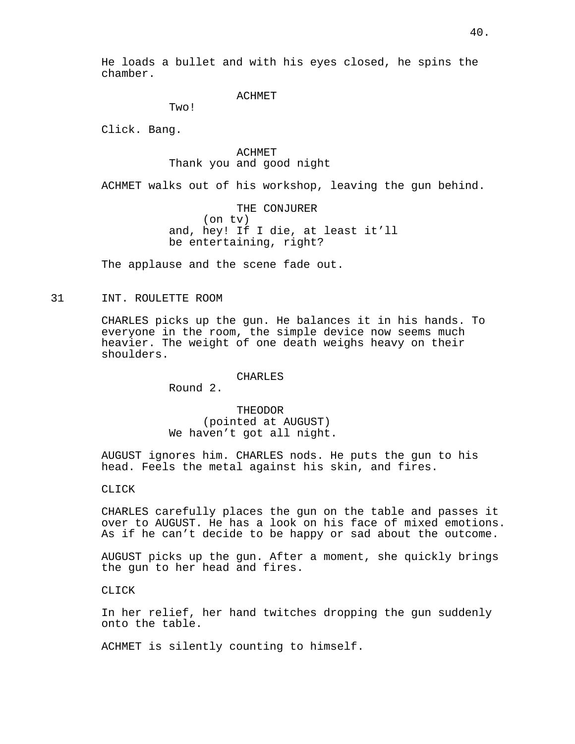He loads a bullet and with his eyes closed, he spins the chamber.

ACHMET

Two!

Click. Bang.

ACHMET Thank you and good night

ACHMET walks out of his workshop, leaving the gun behind.

THE CONJURER (on tv) and, hey! If I die, at least it'll be entertaining, right?

The applause and the scene fade out.

31 INT. ROULETTE ROOM

CHARLES picks up the gun. He balances it in his hands. To everyone in the room, the simple device now seems much heavier. The weight of one death weighs heavy on their shoulders.

#### CHARLES

Round 2.

THEODOR (pointed at AUGUST) We haven't got all night.

AUGUST ignores him. CHARLES nods. He puts the gun to his head. Feels the metal against his skin, and fires.

CLICK

CHARLES carefully places the gun on the table and passes it over to AUGUST. He has a look on his face of mixed emotions. As if he can't decide to be happy or sad about the outcome.

AUGUST picks up the gun. After a moment, she quickly brings the gun to her head and fires.

CLICK

In her relief, her hand twitches dropping the gun suddenly onto the table.

ACHMET is silently counting to himself.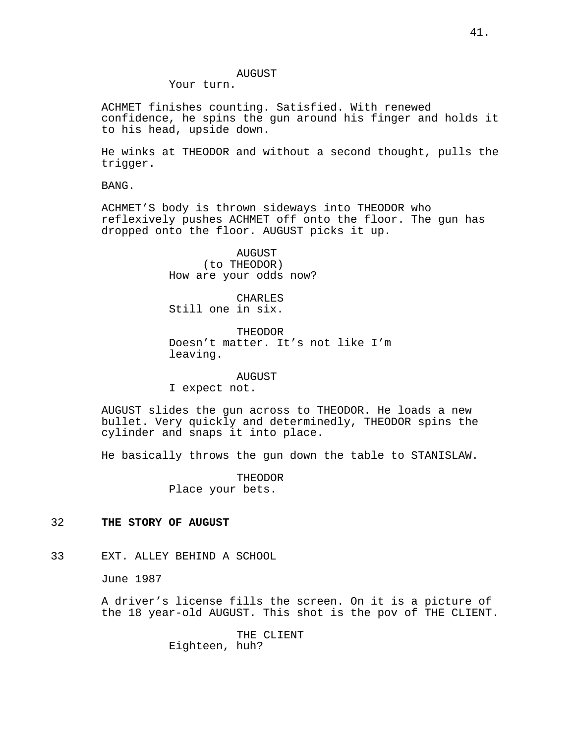#### AUGUST

Your turn.

ACHMET finishes counting. Satisfied. With renewed confidence, he spins the gun around his finger and holds it to his head, upside down.

He winks at THEODOR and without a second thought, pulls the trigger.

BANG.

ACHMET'S body is thrown sideways into THEODOR who reflexively pushes ACHMET off onto the floor. The gun has dropped onto the floor. AUGUST picks it up.

> AUGUST (to THEODOR) How are your odds now?

CHARLES Still one in six.

THEODOR Doesn't matter. It's not like I'm leaving.

AUGUST

I expect not.

AUGUST slides the gun across to THEODOR. He loads a new bullet. Very quickly and determinedly, THEODOR spins the cylinder and snaps it into place.

He basically throws the gun down the table to STANISLAW.

THEODOR Place your bets.

## 32 **THE STORY OF AUGUST**

33 EXT. ALLEY BEHIND A SCHOOL

June 1987

A driver's license fills the screen. On it is a picture of the 18 year-old AUGUST. This shot is the pov of THE CLIENT.

> THE CLIENT Eighteen, huh?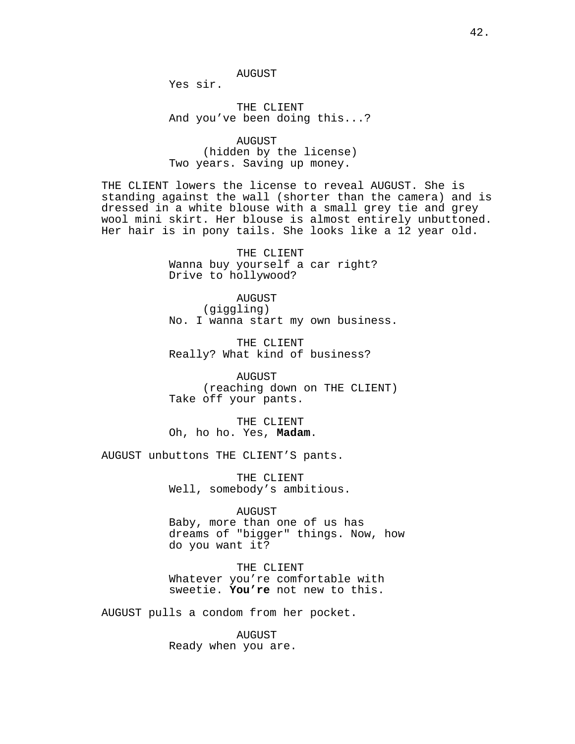AUGUST

Yes sir.

THE CLIENT And you've been doing this...?

AUGUST (hidden by the license) Two years. Saving up money.

THE CLIENT lowers the license to reveal AUGUST. She is standing against the wall (shorter than the camera) and is dressed in a white blouse with a small grey tie and grey wool mini skirt. Her blouse is almost entirely unbuttoned. Her hair is in pony tails. She looks like a 12 year old.

> THE CLIENT Wanna buy yourself a car right? Drive to hollywood?

**AUGUST** (giggling) No. I wanna start my own business.

THE CLIENT Really? What kind of business?

AUGUST (reaching down on THE CLIENT) Take off your pants.

THE CLIENT Oh, ho ho. Yes, **Madam**.

AUGUST unbuttons THE CLIENT'S pants.

THE CLIENT Well, somebody's ambitious.

AUGUST

Baby, more than one of us has dreams of "bigger" things. Now, how do you want it?

THE CLIENT Whatever you're comfortable with sweetie. **You're** not new to this.

AUGUST pulls a condom from her pocket.

AUGUST Ready when you are.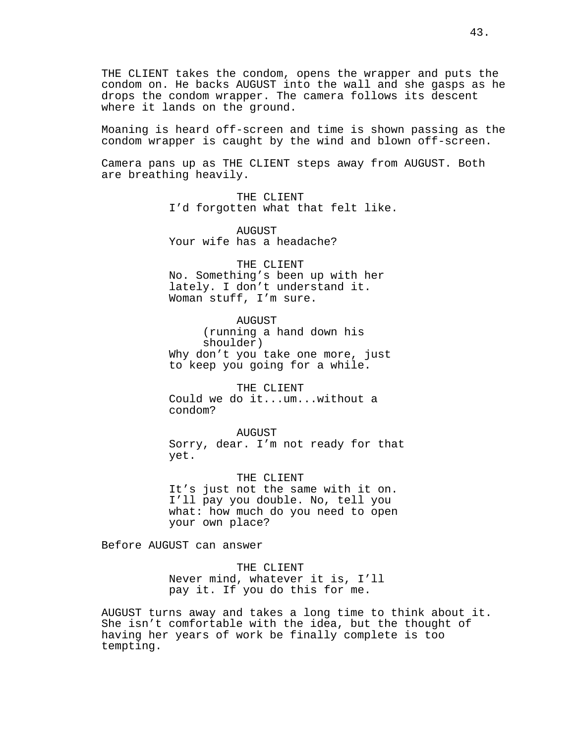THE CLIENT takes the condom, opens the wrapper and puts the condom on. He backs AUGUST into the wall and she gasps as he drops the condom wrapper. The camera follows its descent where it lands on the ground.

Moaning is heard off-screen and time is shown passing as the condom wrapper is caught by the wind and blown off-screen.

Camera pans up as THE CLIENT steps away from AUGUST. Both are breathing heavily.

> THE CLIENT I'd forgotten what that felt like.

AUGUST Your wife has a headache?

THE CLIENT No. Something's been up with her lately. I don't understand it. Woman stuff, I'm sure.

AUGUST (running a hand down his shoulder) Why don't you take one more, just to keep you going for a while.

THE CLIENT Could we do it...um...without a condom?

AUGUST Sorry, dear. I'm not ready for that yet.

THE CLIENT It's just not the same with it on. I'll pay you double. No, tell you what: how much do you need to open your own place?

Before AUGUST can answer

THE CLIENT Never mind, whatever it is, I'll pay it. If you do this for me.

AUGUST turns away and takes a long time to think about it. She isn't comfortable with the idea, but the thought of having her years of work be finally complete is too tempting.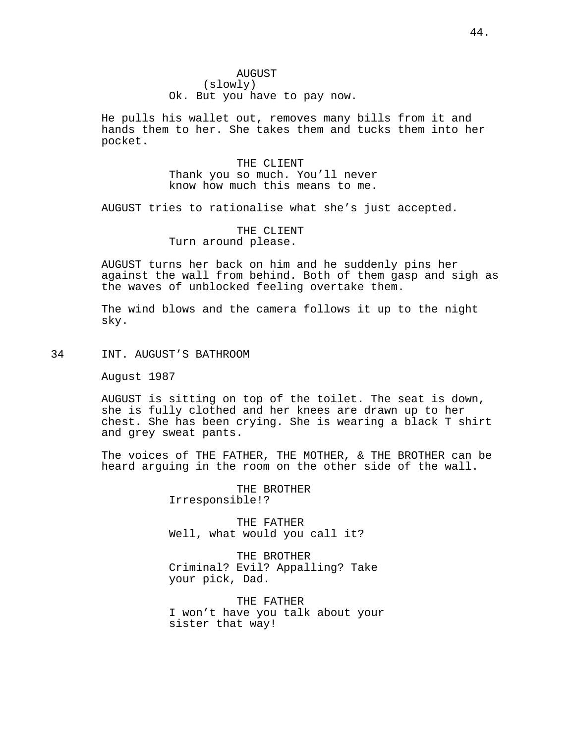AUGUST (slowly) Ok. But you have to pay now.

He pulls his wallet out, removes many bills from it and hands them to her. She takes them and tucks them into her pocket.

> THE CLIENT Thank you so much. You'll never know how much this means to me.

AUGUST tries to rationalise what she's just accepted.

THE CLIENT Turn around please.

AUGUST turns her back on him and he suddenly pins her against the wall from behind. Both of them gasp and sigh as the waves of unblocked feeling overtake them.

The wind blows and the camera follows it up to the night sky.

34 INT. AUGUST'S BATHROOM

August 1987

AUGUST is sitting on top of the toilet. The seat is down, she is fully clothed and her knees are drawn up to her chest. She has been crying. She is wearing a black T shirt and grey sweat pants.

The voices of THE FATHER, THE MOTHER, & THE BROTHER can be heard arguing in the room on the other side of the wall.

> THE BROTHER Irresponsible!?

THE FATHER Well, what would you call it?

THE BROTHER Criminal? Evil? Appalling? Take your pick, Dad.

THE FATHER I won't have you talk about your sister that way!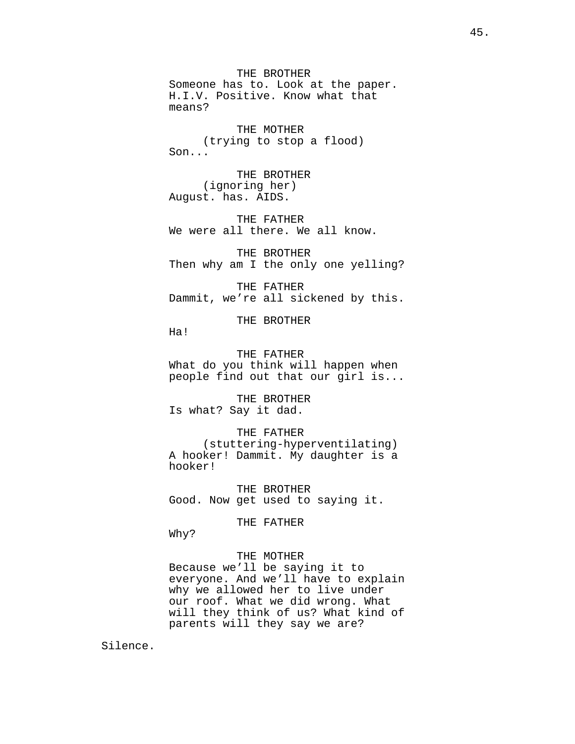THE BROTHER Someone has to. Look at the paper. H.I.V. Positive. Know what that means?

THE MOTHER (trying to stop a flood) Son...

THE BROTHER (ignoring her) August. has. AIDS.

THE FATHER We were all there. We all know.

THE BROTHER Then why am I the only one yelling?

THE FATHER Dammit, we're all sickened by this.

THE BROTHER

Ha!

THE FATHER What do you think will happen when people find out that our girl is...

THE BROTHER Is what? Say it dad.

THE FATHER (stuttering-hyperventilating) A hooker! Dammit. My daughter is a hooker!

THE BROTHER Good. Now get used to saying it.

THE FATHER

Why?

#### THE MOTHER

Because we'll be saying it to everyone. And we'll have to explain why we allowed her to live under our roof. What we did wrong. What will they think of us? What kind of parents will they say we are?

Silence.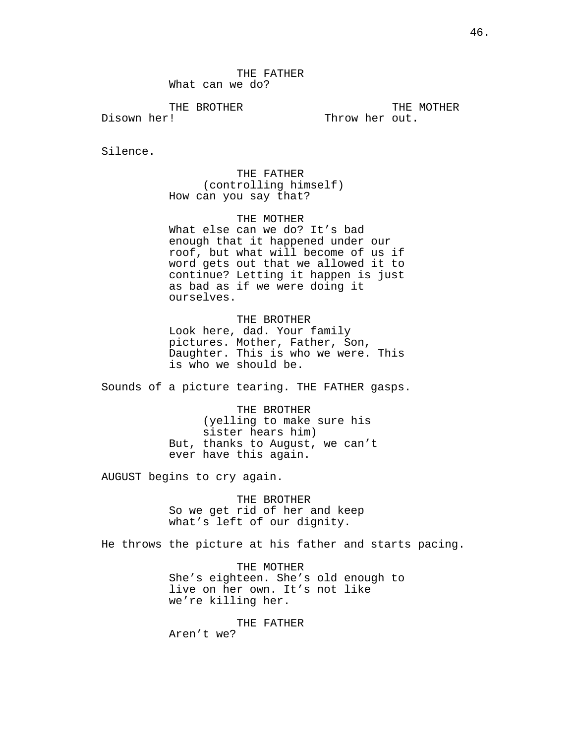THE BROTHER Disown her!

THE MOTHER Throw her out.

Silence.

THE FATHER (controlling himself) How can you say that?

THE MOTHER What else can we do? It's bad enough that it happened under our roof, but what will become of us if word gets out that we allowed it to continue? Letting it happen is just as bad as if we were doing it ourselves.

THE BROTHER Look here, dad. Your family pictures. Mother, Father, Son,

Daughter. This is who we were. This is who we should be.

Sounds of a picture tearing. THE FATHER gasps.

THE BROTHER (yelling to make sure his sister hears him) But, thanks to August, we can't ever have this again.

AUGUST begins to cry again.

THE BROTHER So we get rid of her and keep what's left of our dignity.

He throws the picture at his father and starts pacing.

THE MOTHER She's eighteen. She's old enough to live on her own. It's not like we're killing her.

THE FATHER

Aren't we?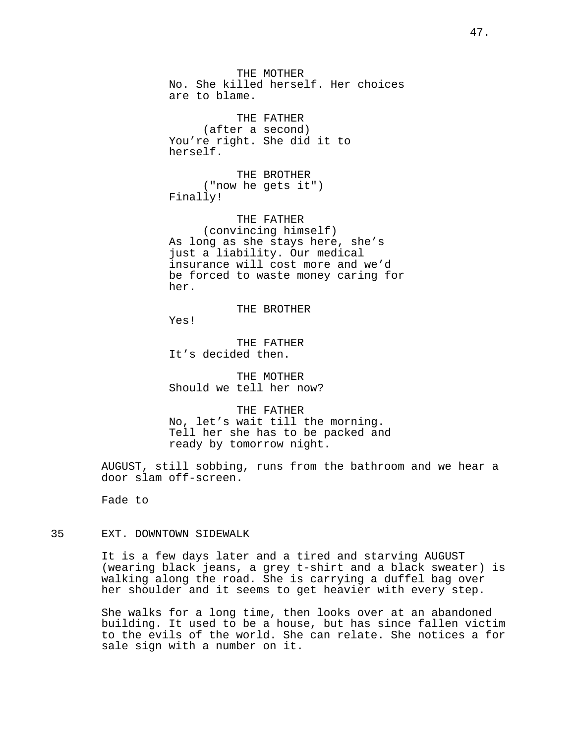THE MOTHER No. She killed herself. Her choices are to blame.

THE FATHER (after a second) You're right. She did it to herself.

THE BROTHER ("now he gets it") Finally!

THE FATHER (convincing himself) As long as she stays here, she's just a liability. Our medical insurance will cost more and we'd be forced to waste money caring for her.

THE BROTHER

Yes!

THE FATHER It's decided then.

THE MOTHER Should we tell her now?

THE FATHER No, let's wait till the morning. Tell her she has to be packed and ready by tomorrow night.

AUGUST, still sobbing, runs from the bathroom and we hear a door slam off-screen.

Fade to

# 35 EXT. DOWNTOWN SIDEWALK

It is a few days later and a tired and starving AUGUST (wearing black jeans, a grey t-shirt and a black sweater) is walking along the road. She is carrying a duffel bag over her shoulder and it seems to get heavier with every step.

She walks for a long time, then looks over at an abandoned building. It used to be a house, but has since fallen victim to the evils of the world. She can relate. She notices a for sale sign with a number on it.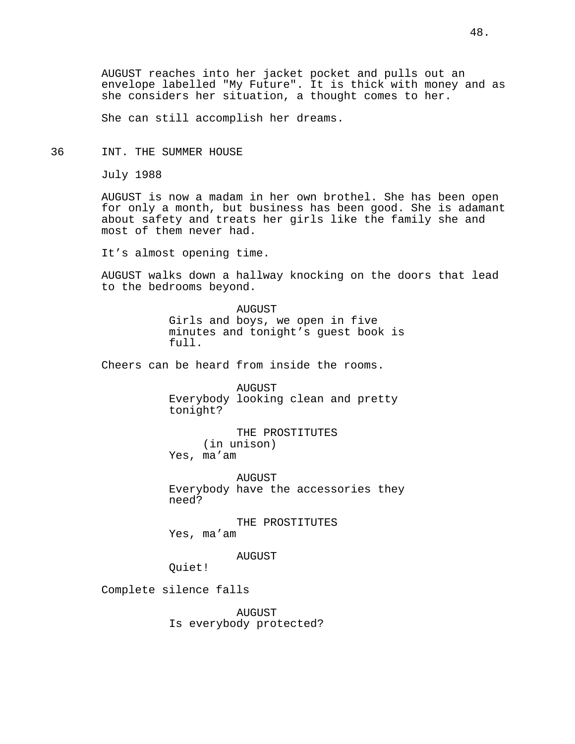AUGUST reaches into her jacket pocket and pulls out an envelope labelled "My Future". It is thick with money and as she considers her situation, a thought comes to her.

She can still accomplish her dreams.

36 INT. THE SUMMER HOUSE

July 1988

AUGUST is now a madam in her own brothel. She has been open for only a month, but business has been good. She is adamant about safety and treats her girls like the family she and most of them never had.

It's almost opening time.

AUGUST walks down a hallway knocking on the doors that lead to the bedrooms beyond.

> AUGUST Girls and boys, we open in five minutes and tonight's guest book is full.

Cheers can be heard from inside the rooms.

AUGUST Everybody looking clean and pretty tonight?

THE PROSTITUTES (in unison) Yes, ma'am

AUGUST Everybody have the accessories they need?

THE PROSTITUTES Yes, ma'am

AUGUST

Quiet!

Complete silence falls

AUGUST Is everybody protected?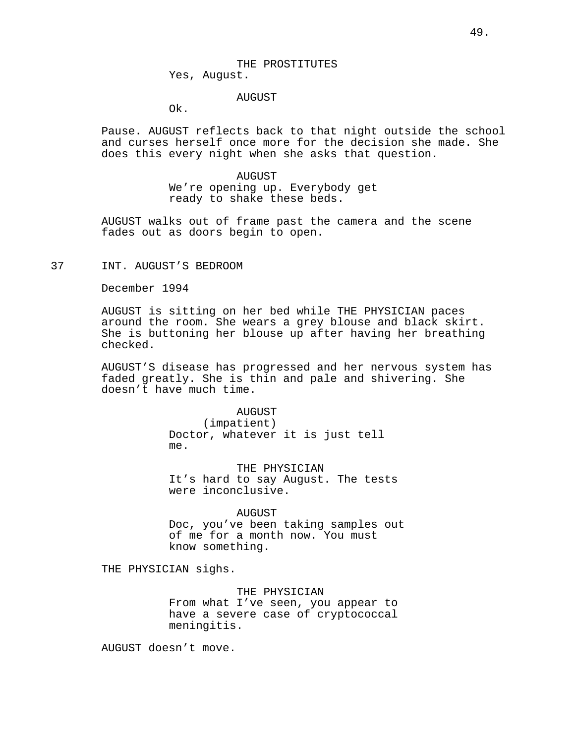### THE PROSTITUTES Yes, August.

#### AUGUST

Ok.

Pause. AUGUST reflects back to that night outside the school and curses herself once more for the decision she made. She does this every night when she asks that question.

> AUGUST We're opening up. Everybody get ready to shake these beds.

AUGUST walks out of frame past the camera and the scene fades out as doors begin to open.

37 INT. AUGUST'S BEDROOM

December 1994

AUGUST is sitting on her bed while THE PHYSICIAN paces around the room. She wears a grey blouse and black skirt. She is buttoning her blouse up after having her breathing checked.

AUGUST'S disease has progressed and her nervous system has faded greatly. She is thin and pale and shivering. She doesn't have much time.

> AUGUST (impatient) Doctor, whatever it is just tell me.

THE PHYSICIAN It's hard to say August. The tests were inconclusive.

AUGUST Doc, you've been taking samples out of me for a month now. You must know something.

THE PHYSICIAN sighs.

THE PHYSICIAN From what I've seen, you appear to have a severe case of cryptococcal meningitis.

AUGUST doesn't move.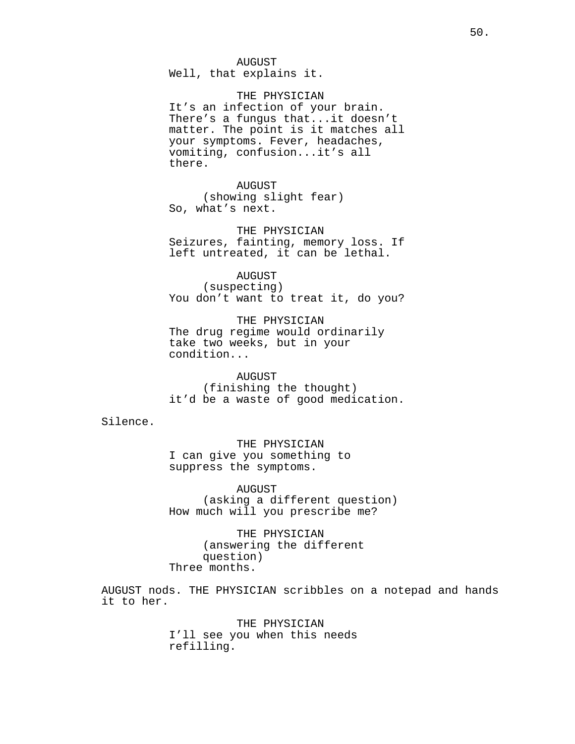#### THE PHYSICIAN

It's an infection of your brain. There's a fungus that...it doesn't matter. The point is it matches all your symptoms. Fever, headaches, vomiting, confusion...it's all there.

AUGUST (showing slight fear) So, what's next.

THE PHYSICIAN Seizures, fainting, memory loss. If left untreated, it can be lethal.

AUGUST (suspecting) You don't want to treat it, do you?

THE PHYSICIAN The drug regime would ordinarily take two weeks, but in your condition...

AUGUST (finishing the thought) it'd be a waste of good medication.

Silence.

THE PHYSICIAN I can give you something to suppress the symptoms.

AUGUST (asking a different question) How much will you prescribe me?

THE PHYSICIAN (answering the different question) Three months.

AUGUST nods. THE PHYSICIAN scribbles on a notepad and hands it to her.

> THE PHYSICIAN I'll see you when this needs refilling.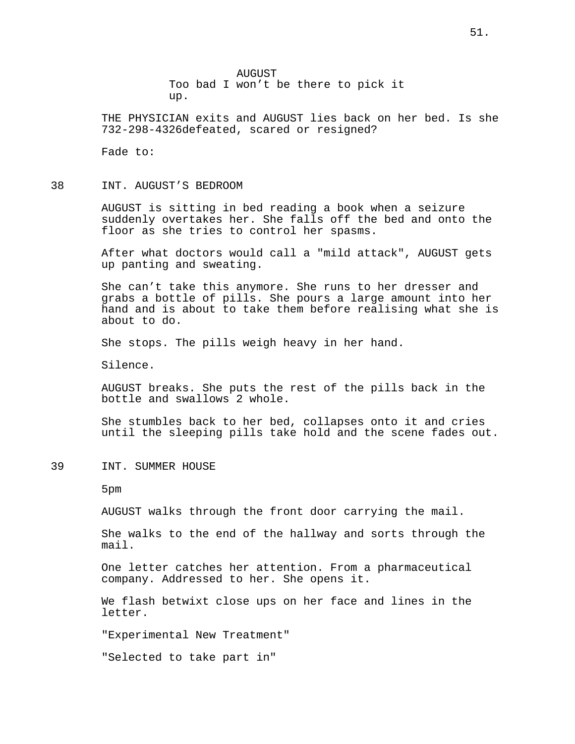THE PHYSICIAN exits and AUGUST lies back on her bed. Is she 732-298-4326defeated, scared or resigned?

Fade to:

#### 38 INT. AUGUST'S BEDROOM

AUGUST is sitting in bed reading a book when a seizure suddenly overtakes her. She falls off the bed and onto the floor as she tries to control her spasms.

After what doctors would call a "mild attack", AUGUST gets up panting and sweating.

She can't take this anymore. She runs to her dresser and grabs a bottle of pills. She pours a large amount into her hand and is about to take them before realising what she is about to do.

She stops. The pills weigh heavy in her hand.

Silence.

AUGUST breaks. She puts the rest of the pills back in the bottle and swallows 2 whole.

She stumbles back to her bed, collapses onto it and cries until the sleeping pills take hold and the scene fades out.

39 INT. SUMMER HOUSE

5pm

AUGUST walks through the front door carrying the mail.

She walks to the end of the hallway and sorts through the mail.

One letter catches her attention. From a pharmaceutical company. Addressed to her. She opens it.

We flash betwixt close ups on her face and lines in the letter.

"Experimental New Treatment"

"Selected to take part in"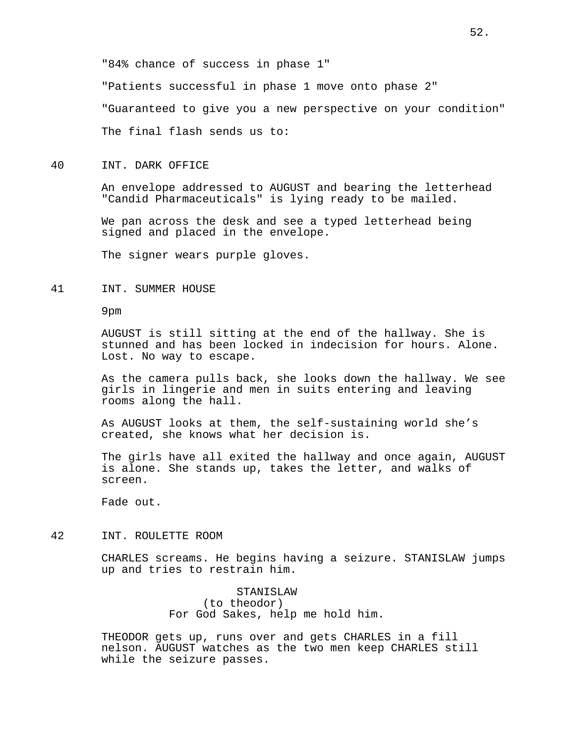"84% chance of success in phase 1"

"Patients successful in phase 1 move onto phase 2"

"Guaranteed to give you a new perspective on your condition" The final flash sends us to:

#### 40 INT. DARK OFFICE

An envelope addressed to AUGUST and bearing the letterhead "Candid Pharmaceuticals" is lying ready to be mailed.

We pan across the desk and see a typed letterhead being signed and placed in the envelope.

The signer wears purple gloves.

# 41 INT. SUMMER HOUSE

9pm

AUGUST is still sitting at the end of the hallway. She is stunned and has been locked in indecision for hours. Alone. Lost. No way to escape.

As the camera pulls back, she looks down the hallway. We see girls in lingerie and men in suits entering and leaving rooms along the hall.

As AUGUST looks at them, the self-sustaining world she's created, she knows what her decision is.

The girls have all exited the hallway and once again, AUGUST is alone. She stands up, takes the letter, and walks of screen.

Fade out.

#### 42 INT. ROULETTE ROOM

CHARLES screams. He begins having a seizure. STANISLAW jumps up and tries to restrain him.

> STANISLAW (to theodor) For God Sakes, help me hold him.

THEODOR gets up, runs over and gets CHARLES in a fill nelson. AUGUST watches as the two men keep CHARLES still while the seizure passes.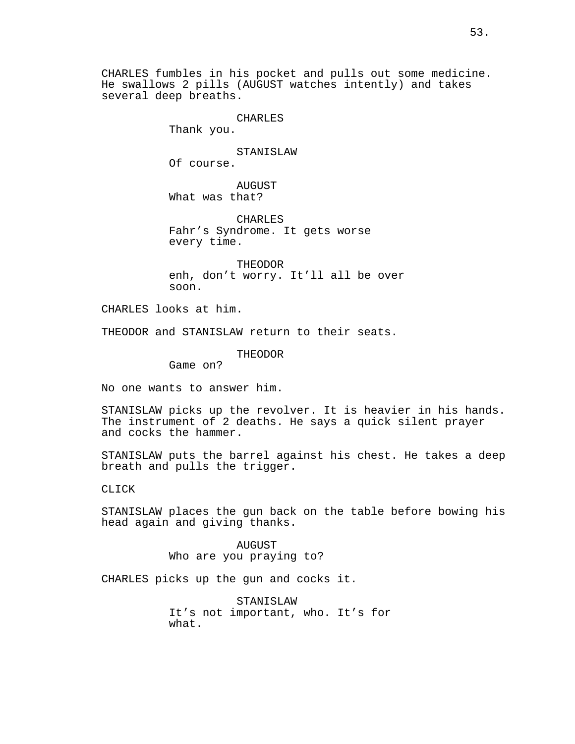CHARLES fumbles in his pocket and pulls out some medicine. He swallows 2 pills (AUGUST watches intently) and takes several deep breaths.

#### CHARLES

Thank you.

STANISLAW Of course.

AUGUST What was that?

CHARLES Fahr's Syndrome. It gets worse every time.

THEODOR enh, don't worry. It'll all be over soon.

CHARLES looks at him.

THEODOR and STANISLAW return to their seats.

THEODOR

Game on?

No one wants to answer him.

STANISLAW picks up the revolver. It is heavier in his hands. The instrument of 2 deaths. He says a quick silent prayer and cocks the hammer.

STANISLAW puts the barrel against his chest. He takes a deep breath and pulls the trigger.

CLICK

STANISLAW places the gun back on the table before bowing his head again and giving thanks.

> AUGUST Who are you praying to?

CHARLES picks up the gun and cocks it.

STANISLAW It's not important, who. It's for what.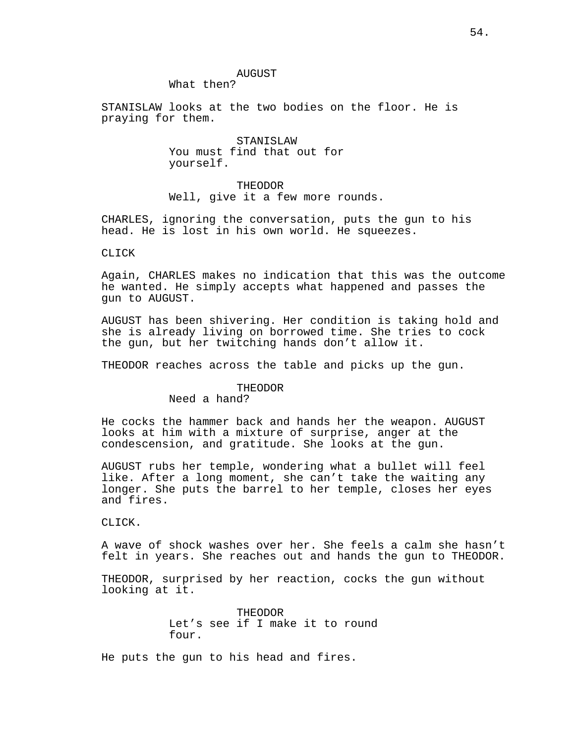What then?

STANISLAW looks at the two bodies on the floor. He is praying for them.

> STANISLAW You must find that out for yourself.

THEODOR Well, give it a few more rounds.

CHARLES, ignoring the conversation, puts the gun to his head. He is lost in his own world. He squeezes.

#### CLICK

Again, CHARLES makes no indication that this was the outcome he wanted. He simply accepts what happened and passes the gun to AUGUST.

AUGUST has been shivering. Her condition is taking hold and she is already living on borrowed time. She tries to cock the gun, but her twitching hands don't allow it.

THEODOR reaches across the table and picks up the gun.

#### THEODOR

Need a hand?

He cocks the hammer back and hands her the weapon. AUGUST looks at him with a mixture of surprise, anger at the condescension, and gratitude. She looks at the gun.

AUGUST rubs her temple, wondering what a bullet will feel like. After a long moment, she can't take the waiting any longer. She puts the barrel to her temple, closes her eyes and fires.

CLICK.

A wave of shock washes over her. She feels a calm she hasn't felt in years. She reaches out and hands the gun to THEODOR.

THEODOR, surprised by her reaction, cocks the gun without looking at it.

> THEODOR Let's see if I make it to round four.

He puts the gun to his head and fires.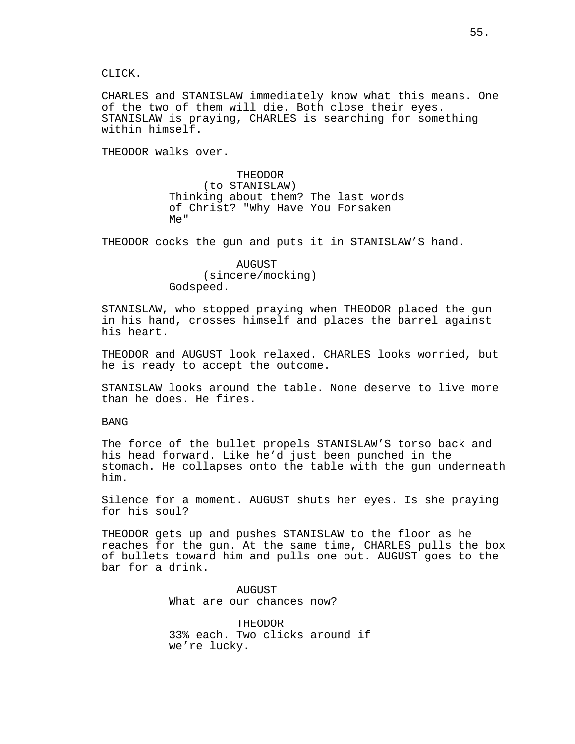CLICK.

CHARLES and STANISLAW immediately know what this means. One of the two of them will die. Both close their eyes. STANISLAW is praying, CHARLES is searching for something within himself.

THEODOR walks over.

THEODOR (to STANISLAW) Thinking about them? The last words of Christ? "Why Have You Forsaken Me"

THEODOR cocks the gun and puts it in STANISLAW'S hand.

AUGUST (sincere/mocking) Godspeed.

STANISLAW, who stopped praying when THEODOR placed the gun in his hand, crosses himself and places the barrel against his heart.

THEODOR and AUGUST look relaxed. CHARLES looks worried, but he is ready to accept the outcome.

STANISLAW looks around the table. None deserve to live more than he does. He fires.

BANG

The force of the bullet propels STANISLAW'S torso back and his head forward. Like he'd just been punched in the stomach. He collapses onto the table with the gun underneath him.

Silence for a moment. AUGUST shuts her eyes. Is she praying for his soul?

THEODOR gets up and pushes STANISLAW to the floor as he reaches for the gun. At the same time, CHARLES pulls the box of bullets toward him and pulls one out. AUGUST goes to the bar for a drink.

> AUGUST What are our chances now?

**THEODOR** 33% each. Two clicks around if we're lucky.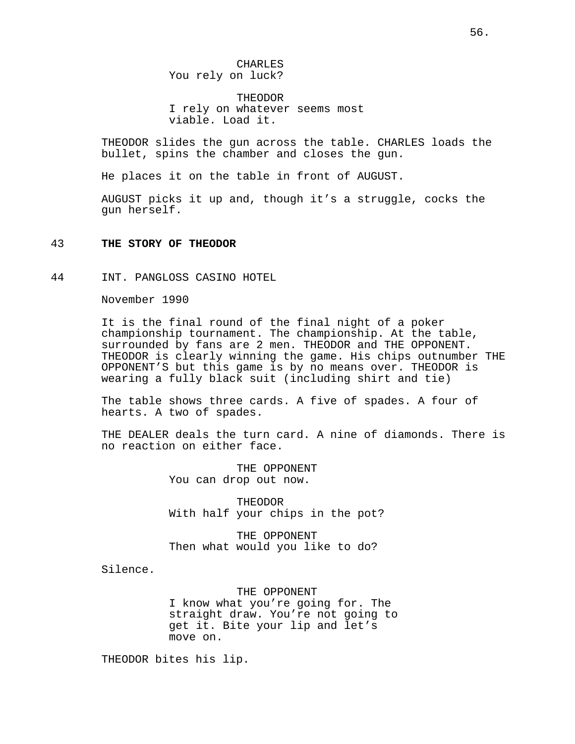CHARLES You rely on luck?

THEODOR I rely on whatever seems most viable. Load it.

THEODOR slides the gun across the table. CHARLES loads the bullet, spins the chamber and closes the gun.

He places it on the table in front of AUGUST.

AUGUST picks it up and, though it's a struggle, cocks the gun herself.

### 43 **THE STORY OF THEODOR**

44 INT. PANGLOSS CASINO HOTEL

November 1990

It is the final round of the final night of a poker championship tournament. The championship. At the table, surrounded by fans are 2 men. THEODOR and THE OPPONENT. THEODOR is clearly winning the game. His chips outnumber THE OPPONENT'S but this game is by no means over. THEODOR is wearing a fully black suit (including shirt and tie)

The table shows three cards. A five of spades. A four of hearts. A two of spades.

THE DEALER deals the turn card. A nine of diamonds. There is no reaction on either face.

> THE OPPONENT You can drop out now.

THEODOR With half your chips in the pot?

THE OPPONENT Then what would you like to do?

Silence.

THE OPPONENT I know what you're going for. The straight draw. You're not going to get it. Bite your lip and let's move on.

THEODOR bites his lip.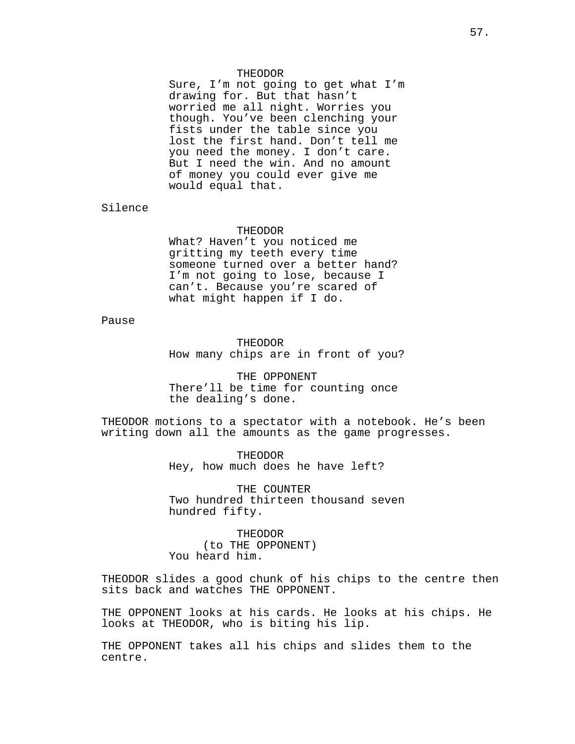#### THEODOR

Sure, I'm not going to get what I'm drawing for. But that hasn't worried me all night. Worries you though. You've been clenching your fists under the table since you lost the first hand. Don't tell me you need the money. I don't care. But I need the win. And no amount of money you could ever give me would equal that.

#### Silence

#### THEODOR

What? Haven't you noticed me gritting my teeth every time someone turned over a better hand? I'm not going to lose, because I can't. Because you're scared of what might happen if I do.

Pause

THEODOR How many chips are in front of you?

THE OPPONENT There'll be time for counting once the dealing's done.

THEODOR motions to a spectator with a notebook. He's been writing down all the amounts as the game progresses.

> THEODOR Hey, how much does he have left?

THE COUNTER Two hundred thirteen thousand seven hundred fifty.

THEODOR (to THE OPPONENT) You heard him.

THEODOR slides a good chunk of his chips to the centre then sits back and watches THE OPPONENT.

THE OPPONENT looks at his cards. He looks at his chips. He looks at THEODOR, who is biting his lip.

THE OPPONENT takes all his chips and slides them to the centre.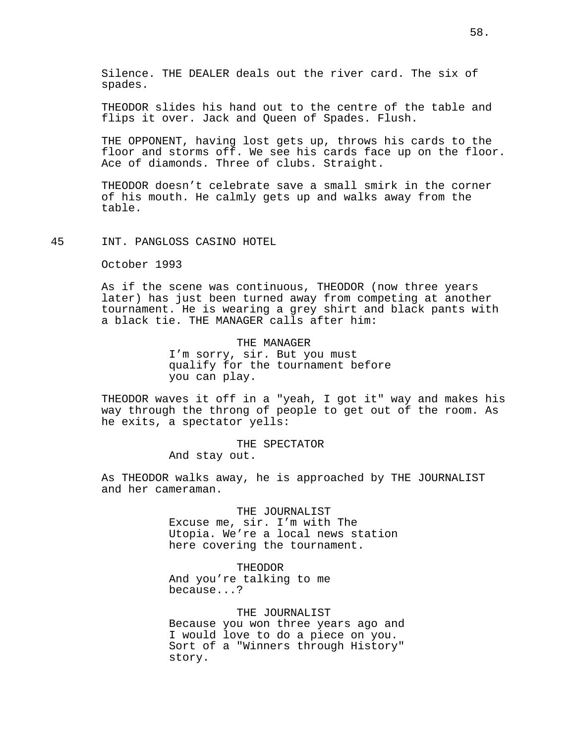Silence. THE DEALER deals out the river card. The six of spades.

THEODOR slides his hand out to the centre of the table and flips it over. Jack and Queen of Spades. Flush.

THE OPPONENT, having lost gets up, throws his cards to the floor and storms off. We see his cards face up on the floor. Ace of diamonds. Three of clubs. Straight.

THEODOR doesn't celebrate save a small smirk in the corner of his mouth. He calmly gets up and walks away from the table.

45 INT. PANGLOSS CASINO HOTEL

October 1993

As if the scene was continuous, THEODOR (now three years later) has just been turned away from competing at another tournament. He is wearing a grey shirt and black pants with a black tie. THE MANAGER calls after him:

> THE MANAGER I'm sorry, sir. But you must qualify for the tournament before you can play.

THEODOR waves it off in a "yeah, I got it" way and makes his way through the throng of people to get out of the room. As he exits, a spectator yells:

> THE SPECTATOR And stay out.

As THEODOR walks away, he is approached by THE JOURNALIST and her cameraman.

THE JOURNALIST

Excuse me, sir. I'm with The Utopia. We're a local news station here covering the tournament.

THEODOR

And you're talking to me because...?

#### THE JOURNALIST

Because you won three years ago and I would love to do a piece on you. Sort of a "Winners through History" story.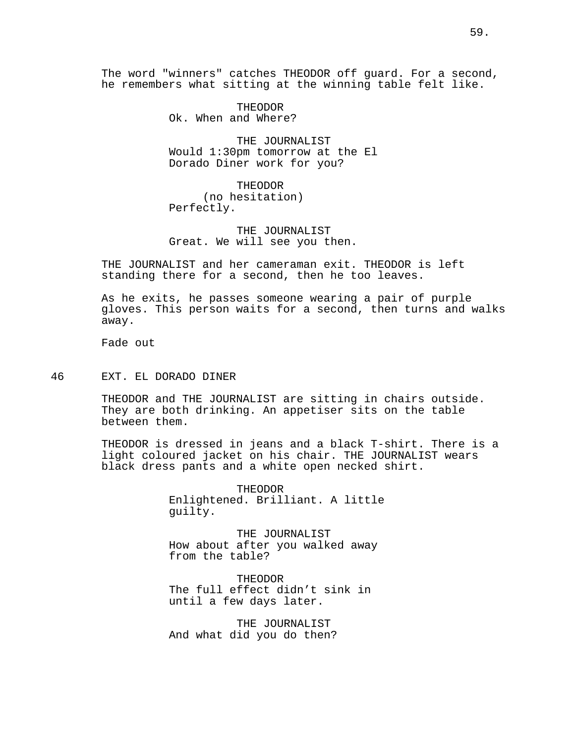The word "winners" catches THEODOR off guard. For a second, he remembers what sitting at the winning table felt like.

> **THEODOR** Ok. When and Where?

THE JOURNALIST Would 1:30pm tomorrow at the El Dorado Diner work for you?

THEODOR (no hesitation) Perfectly.

THE JOURNALIST Great. We will see you then.

THE JOURNALIST and her cameraman exit. THEODOR is left standing there for a second, then he too leaves.

As he exits, he passes someone wearing a pair of purple gloves. This person waits for a second, then turns and walks away.

Fade out

#### 46 EXT. EL DORADO DINER

THEODOR and THE JOURNALIST are sitting in chairs outside. They are both drinking. An appetiser sits on the table between them.

THEODOR is dressed in jeans and a black T-shirt. There is a light coloured jacket on his chair. THE JOURNALIST wears black dress pants and a white open necked shirt.

> THEODOR Enlightened. Brilliant. A little guilty.

THE JOURNALIST How about after you walked away from the table?

THEODOR The full effect didn't sink in until a few days later.

THE JOURNALIST And what did you do then?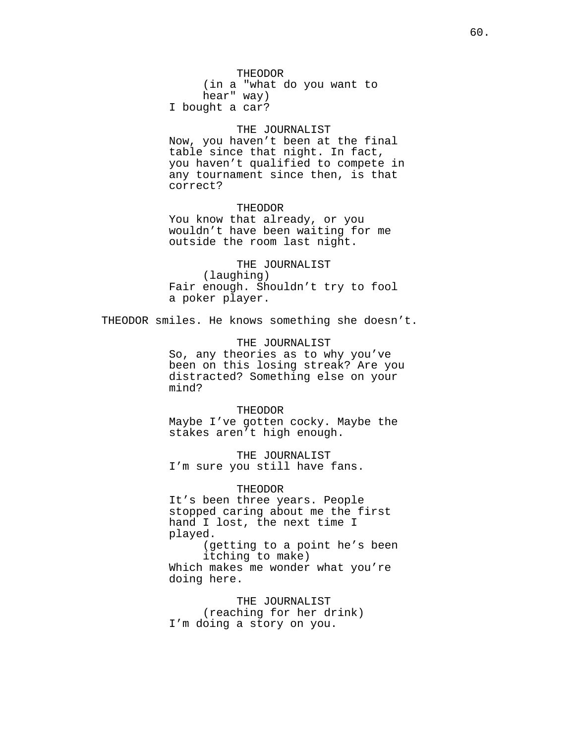THEODOR (in a "what do you want to hear" way) I bought a car?

#### THE JOURNALIST

Now, you haven't been at the final table since that night. In fact, you haven't qualified to compete in any tournament since then, is that correct?

#### THEODOR

You know that already, or you wouldn't have been waiting for me outside the room last night.

THE JOURNALIST (laughing) Fair enough. Shouldn't try to fool a poker player.

THEODOR smiles. He knows something she doesn't.

THE JOURNALIST So, any theories as to why you've been on this losing streak? Are you distracted? Something else on your mind?

#### THEODOR

Maybe I've gotten cocky. Maybe the stakes aren't high enough.

THE JOURNALIST I'm sure you still have fans.

THEODOR

It's been three years. People stopped caring about me the first hand I lost, the next time I played.

(getting to a point he's been itching to make) Which makes me wonder what you're doing here.

THE JOURNALIST (reaching for her drink) I'm doing a story on you.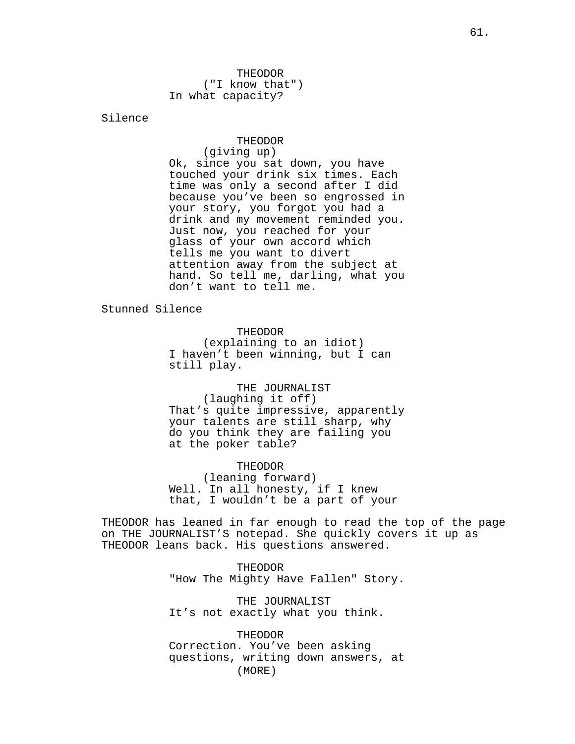Silence

#### THEODOR

(giving up) Ok, since you sat down, you have touched your drink six times. Each time was only a second after I did because you've been so engrossed in your story, you forgot you had a drink and my movement reminded you. Just now, you reached for your glass of your own accord which tells me you want to divert attention away from the subject at hand. So tell me, darling, what you don't want to tell me.

Stunned Silence

THEODOR

(explaining to an idiot) I haven't been winning, but I can still play.

# THE JOURNALIST

(laughing it off) That's quite impressive, apparently your talents are still sharp, why do you think they are failing you at the poker table?

THEODOR

(leaning forward) Well. In all honesty, if I knew that, I wouldn't be a part of your

THEODOR has leaned in far enough to read the top of the page on THE JOURNALIST'S notepad. She quickly covers it up as THEODOR leans back. His questions answered.

> THEODOR "How The Mighty Have Fallen" Story.

THE JOURNALIST It's not exactly what you think.

THEODOR Correction. You've been asking questions, writing down answers, at (MORE)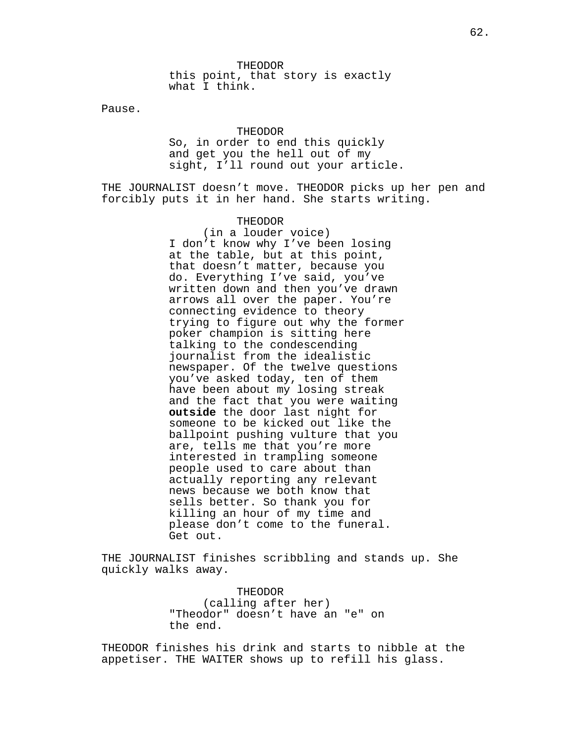THEODOR this point, that story is exactly what I think.

Pause.

#### THEODOR

So, in order to end this quickly and get you the hell out of my sight, I'll round out your article.

THE JOURNALIST doesn't move. THEODOR picks up her pen and forcibly puts it in her hand. She starts writing.

#### THEODOR

(in a louder voice) I don't know why I've been losing at the table, but at this point, that doesn't matter, because you do. Everything I've said, you've written down and then you've drawn arrows all over the paper. You're connecting evidence to theory trying to figure out why the former poker champion is sitting here talking to the condescending journalist from the idealistic newspaper. Of the twelve questions you've asked today, ten of them have been about my losing streak and the fact that you were waiting **outside** the door last night for someone to be kicked out like the ballpoint pushing vulture that you are, tells me that you're more interested in trampling someone people used to care about than actually reporting any relevant news because we both know that sells better. So thank you for killing an hour of my time and please don't come to the funeral. Get out.

THE JOURNALIST finishes scribbling and stands up. She quickly walks away.

> THEODOR (calling after her) "Theodor" doesn't have an "e" on the end.

THEODOR finishes his drink and starts to nibble at the appetiser. THE WAITER shows up to refill his glass.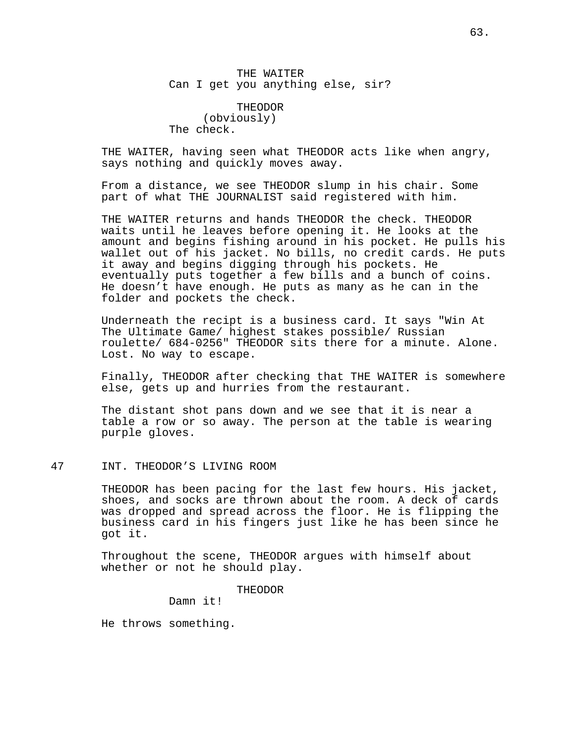THEODOR (obviously) The check.

THE WAITER, having seen what THEODOR acts like when angry, says nothing and quickly moves away.

From a distance, we see THEODOR slump in his chair. Some part of what THE JOURNALIST said registered with him.

THE WAITER returns and hands THEODOR the check. THEODOR waits until he leaves before opening it. He looks at the amount and begins fishing around in his pocket. He pulls his wallet out of his jacket. No bills, no credit cards. He puts it away and begins digging through his pockets. He eventually puts together a few bills and a bunch of coins. He doesn't have enough. He puts as many as he can in the folder and pockets the check.

Underneath the recipt is a business card. It says "Win At The Ultimate Game/ highest stakes possible/ Russian roulette/ 684-0256" THEODOR sits there for a minute. Alone. Lost. No way to escape.

Finally, THEODOR after checking that THE WAITER is somewhere else, gets up and hurries from the restaurant.

The distant shot pans down and we see that it is near a table a row or so away. The person at the table is wearing purple gloves.

#### 47 INT. THEODOR'S LIVING ROOM

THEODOR has been pacing for the last few hours. His jacket, shoes, and socks are thrown about the room. A deck of cards was dropped and spread across the floor. He is flipping the business card in his fingers just like he has been since he got it.

Throughout the scene, THEODOR argues with himself about whether or not he should play.

THEODOR

Damn it!

He throws something.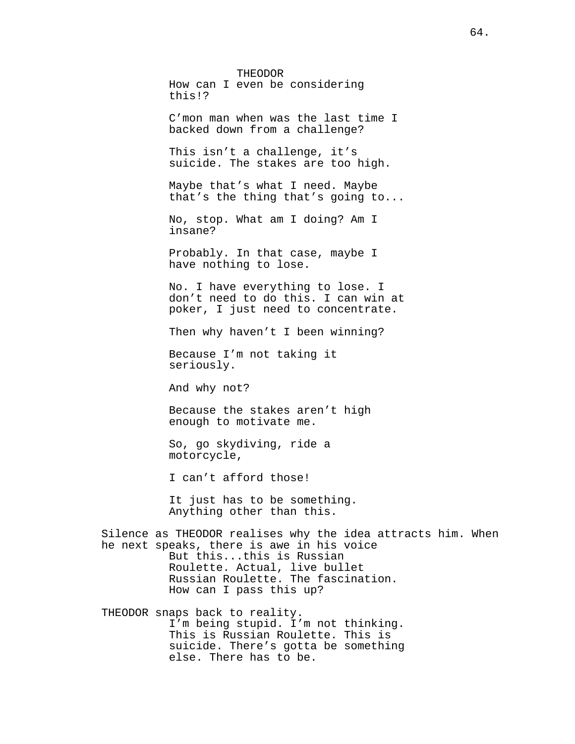THEODOR How can I even be considering this!? C'mon man when was the last time I backed down from a challenge? This isn't a challenge, it's suicide. The stakes are too high. Maybe that's what I need. Maybe that's the thing that's going to... No, stop. What am I doing? Am I insane? Probably. In that case, maybe I have nothing to lose. No. I have everything to lose. I don't need to do this. I can win at poker, I just need to concentrate. Then why haven't I been winning? Because I'm not taking it seriously. And why not? Because the stakes aren't high enough to motivate me. So, go skydiving, ride a motorcycle, I can't afford those! It just has to be something. Anything other than this. Silence as THEODOR realises why the idea attracts him. When he next speaks, there is awe in his voice But this...this is Russian Roulette. Actual, live bullet Russian Roulette. The fascination. How can I pass this up? THEODOR snaps back to reality. I'm being stupid. I'm not thinking. This is Russian Roulette. This is suicide. There's gotta be something else. There has to be.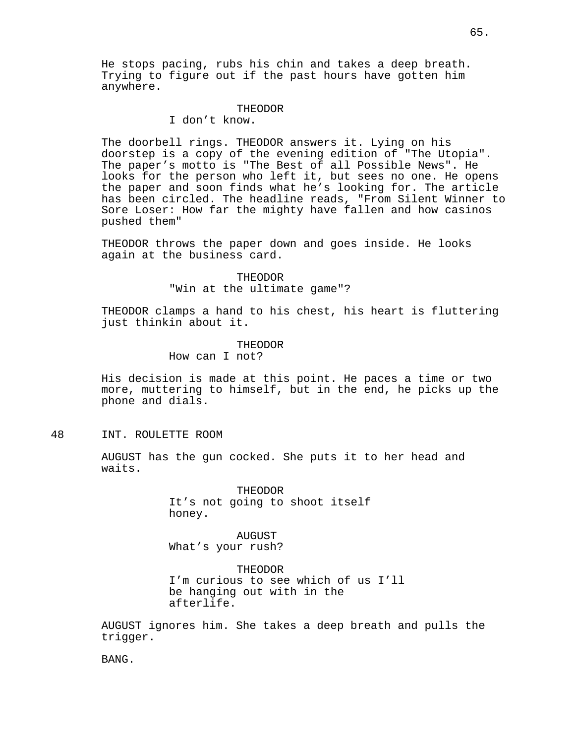He stops pacing, rubs his chin and takes a deep breath. Trying to figure out if the past hours have gotten him anywhere.

#### THEODOR

I don't know.

The doorbell rings. THEODOR answers it. Lying on his doorstep is a copy of the evening edition of "The Utopia". The paper's motto is "The Best of all Possible News". He looks for the person who left it, but sees no one. He opens the paper and soon finds what he's looking for. The article has been circled. The headline reads, "From Silent Winner to Sore Loser: How far the mighty have fallen and how casinos pushed them"

THEODOR throws the paper down and goes inside. He looks again at the business card.

> THEODOR "Win at the ultimate game"?

THEODOR clamps a hand to his chest, his heart is fluttering just thinkin about it.

> THEODOR How can I not?

His decision is made at this point. He paces a time or two more, muttering to himself, but in the end, he picks up the phone and dials.

48 INT. ROULETTE ROOM

AUGUST has the gun cocked. She puts it to her head and waits.

> THEODOR It's not going to shoot itself honey.

AUGUST What's your rush?

THEODOR I'm curious to see which of us I'll be hanging out with in the afterlife.

AUGUST ignores him. She takes a deep breath and pulls the trigger.

BANG.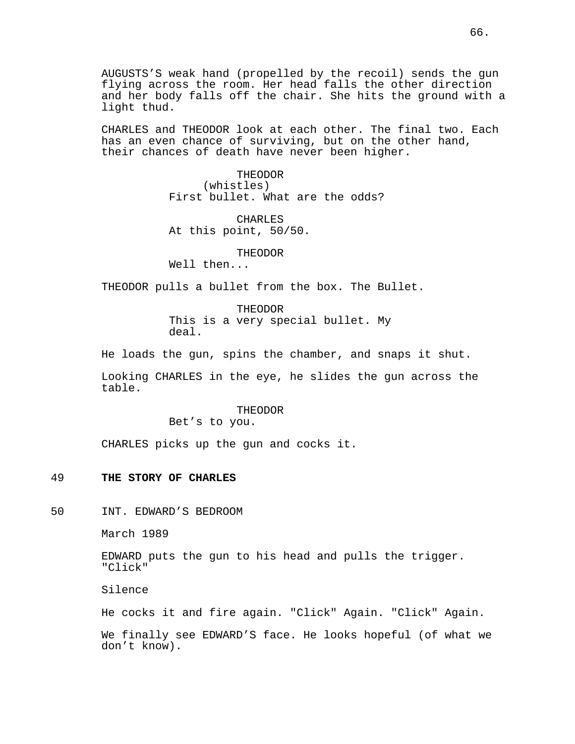AUGUSTS'S weak hand (propelled by the recoil) sends the gun flying across the room. Her head falls the other direction and her body falls off the chair. She hits the ground with a light thud.

CHARLES and THEODOR look at each other. The final two. Each has an even chance of surviving, but on the other hand, their chances of death have never been higher.

> THEODOR (whistles) First bullet. What are the odds?

CHARLES At this point, 50/50.

#### THEODOR

Well then...

THEODOR pulls a bullet from the box. The Bullet.

THEODOR This is a very special bullet. My deal.

He loads the gun, spins the chamber, and snaps it shut.

Looking CHARLES in the eye, he slides the gun across the table.

# THEODOR

Bet's to you.

CHARLES picks up the gun and cocks it.

# 49 **THE STORY OF CHARLES**

50 INT. EDWARD'S BEDROOM

March 1989

EDWARD puts the gun to his head and pulls the trigger. "Click"

Silence

He cocks it and fire again. "Click" Again. "Click" Again.

We finally see EDWARD'S face. He looks hopeful (of what we don't know).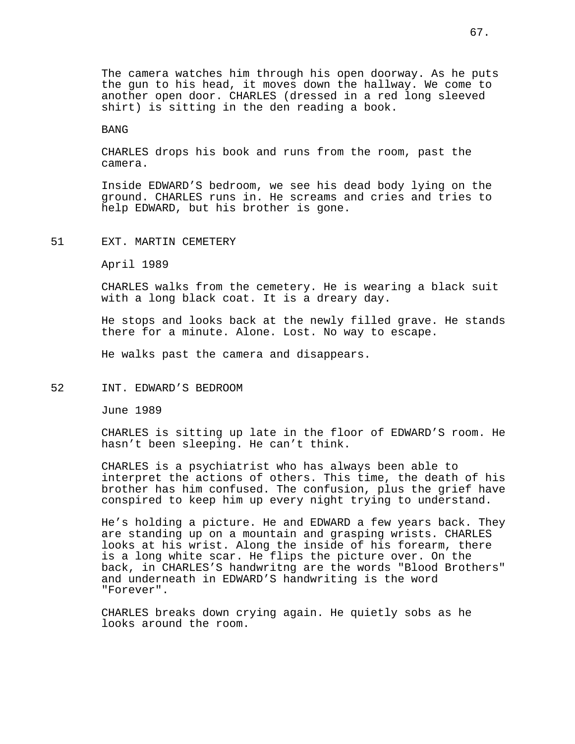The camera watches him through his open doorway. As he puts the gun to his head, it moves down the hallway. We come to another open door. CHARLES (dressed in a red long sleeved shirt) is sitting in the den reading a book.

BANG

CHARLES drops his book and runs from the room, past the camera.

Inside EDWARD'S bedroom, we see his dead body lying on the ground. CHARLES runs in. He screams and cries and tries to help EDWARD, but his brother is gone.

51 EXT. MARTIN CEMETERY

April 1989

CHARLES walks from the cemetery. He is wearing a black suit with a long black coat. It is a dreary day.

He stops and looks back at the newly filled grave. He stands there for a minute. Alone. Lost. No way to escape.

He walks past the camera and disappears.

52 INT. EDWARD'S BEDROOM

June 1989

CHARLES is sitting up late in the floor of EDWARD'S room. He hasn't been sleeping. He can't think.

CHARLES is a psychiatrist who has always been able to interpret the actions of others. This time, the death of his brother has him confused. The confusion, plus the grief have conspired to keep him up every night trying to understand.

He's holding a picture. He and EDWARD a few years back. They are standing up on a mountain and grasping wrists. CHARLES looks at his wrist. Along the inside of his forearm, there is a long white scar. He flips the picture over. On the back, in CHARLES'S handwritng are the words "Blood Brothers" and underneath in EDWARD'S handwriting is the word "Forever".

CHARLES breaks down crying again. He quietly sobs as he looks around the room.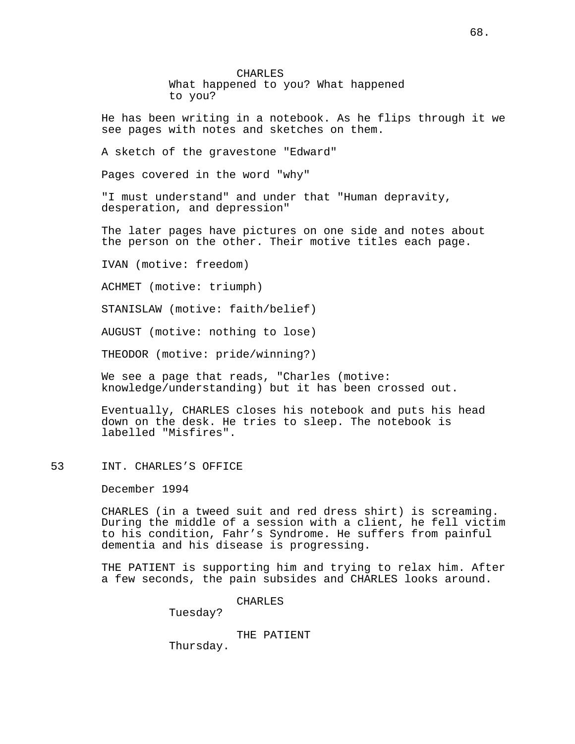CHARLES What happened to you? What happened to you?

He has been writing in a notebook. As he flips through it we see pages with notes and sketches on them.

A sketch of the gravestone "Edward"

Pages covered in the word "why"

"I must understand" and under that "Human depravity, desperation, and depression"

The later pages have pictures on one side and notes about the person on the other. Their motive titles each page.

IVAN (motive: freedom)

ACHMET (motive: triumph)

STANISLAW (motive: faith/belief)

AUGUST (motive: nothing to lose)

THEODOR (motive: pride/winning?)

We see a page that reads, "Charles (motive: knowledge/understanding) but it has been crossed out.

Eventually, CHARLES closes his notebook and puts his head down on the desk. He tries to sleep. The notebook is labelled "Misfires".

53 INT. CHARLES'S OFFICE

December 1994

CHARLES (in a tweed suit and red dress shirt) is screaming. During the middle of a session with a client, he fell victim to his condition, Fahr's Syndrome. He suffers from painful dementia and his disease is progressing.

THE PATIENT is supporting him and trying to relax him. After a few seconds, the pain subsides and CHARLES looks around.

CHARLES

Tuesday?

THE PATIENT

Thursday.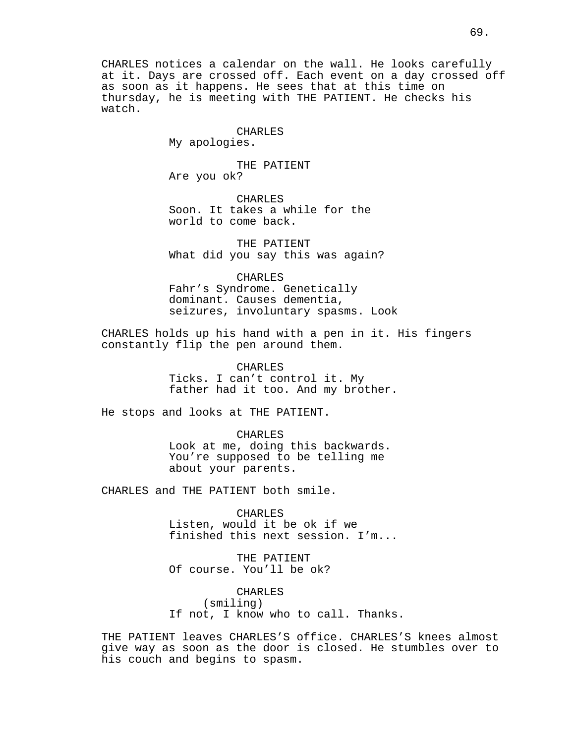CHARLES notices a calendar on the wall. He looks carefully at it. Days are crossed off. Each event on a day crossed off as soon as it happens. He sees that at this time on thursday, he is meeting with THE PATIENT. He checks his watch.

# CHARLES

My apologies.

THE PATIENT Are you ok?

CHARLES Soon. It takes a while for the world to come back.

THE PATIENT What did you say this was again?

#### CHARLES

Fahr's Syndrome. Genetically dominant. Causes dementia, seizures, involuntary spasms. Look

CHARLES holds up his hand with a pen in it. His fingers constantly flip the pen around them.

CHARLES

Ticks. I can't control it. My father had it too. And my brother.

He stops and looks at THE PATIENT.

CHARLES Look at me, doing this backwards. You're supposed to be telling me about your parents.

CHARLES and THE PATIENT both smile.

CHARLES Listen, would it be ok if we finished this next session. I'm...

THE PATIENT Of course. You'll be ok?

CHARLES (smiling) If not, I know who to call. Thanks.

THE PATIENT leaves CHARLES'S office. CHARLES'S knees almost give way as soon as the door is closed. He stumbles over to his couch and begins to spasm.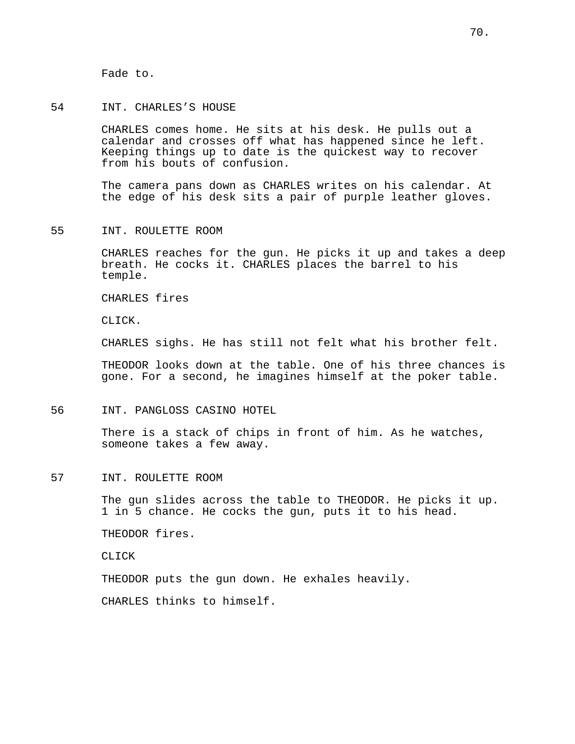Fade to.

#### 54 INT. CHARLES'S HOUSE

CHARLES comes home. He sits at his desk. He pulls out a calendar and crosses off what has happened since he left. Keeping things up to date is the quickest way to recover from his bouts of confusion.

The camera pans down as CHARLES writes on his calendar. At the edge of his desk sits a pair of purple leather gloves.

#### 55 INT. ROULETTE ROOM

CHARLES reaches for the gun. He picks it up and takes a deep breath. He cocks it. CHARLES places the barrel to his temple.

CHARLES fires

CLICK.

CHARLES sighs. He has still not felt what his brother felt.

THEODOR looks down at the table. One of his three chances is gone. For a second, he imagines himself at the poker table.

# 56 INT. PANGLOSS CASINO HOTEL

There is a stack of chips in front of him. As he watches, someone takes a few away.

#### 57 INT. ROULETTE ROOM

The gun slides across the table to THEODOR. He picks it up. 1 in 5 chance. He cocks the gun, puts it to his head.

THEODOR fires.

CLICK

THEODOR puts the gun down. He exhales heavily.

CHARLES thinks to himself.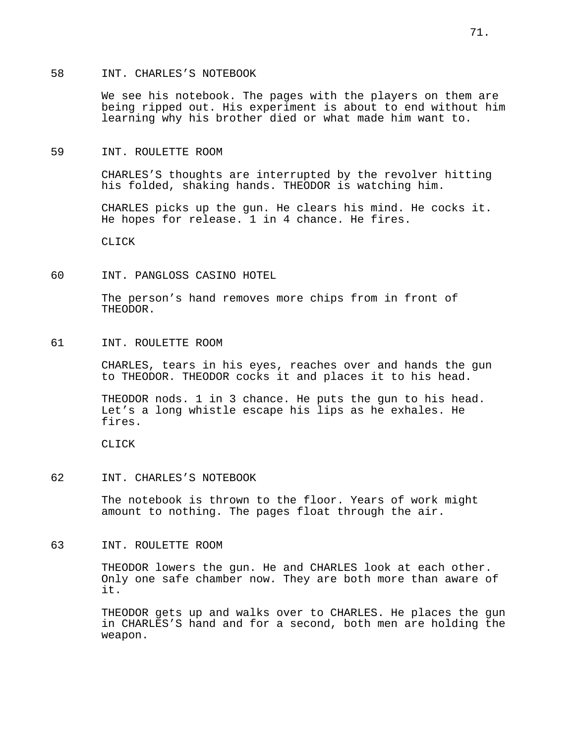## 58 INT. CHARLES'S NOTEBOOK

We see his notebook. The pages with the players on them are being ripped out. His experiment is about to end without him learning why his brother died or what made him want to.

#### 59 INT. ROULETTE ROOM

CHARLES'S thoughts are interrupted by the revolver hitting his folded, shaking hands. THEODOR is watching him.

CHARLES picks up the gun. He clears his mind. He cocks it. He hopes for release. 1 in 4 chance. He fires.

CLICK

#### 60 INT. PANGLOSS CASINO HOTEL

The person's hand removes more chips from in front of THEODOR.

#### 61 INT. ROULETTE ROOM

CHARLES, tears in his eyes, reaches over and hands the gun to THEODOR. THEODOR cocks it and places it to his head.

THEODOR nods. 1 in 3 chance. He puts the gun to his head. Let's a long whistle escape his lips as he exhales. He fires.

CLICK

#### 62 INT. CHARLES'S NOTEBOOK

The notebook is thrown to the floor. Years of work might amount to nothing. The pages float through the air.

#### 63 INT. ROULETTE ROOM

THEODOR lowers the gun. He and CHARLES look at each other. Only one safe chamber now. They are both more than aware of it.

THEODOR gets up and walks over to CHARLES. He places the gun in CHARLES'S hand and for a second, both men are holding the weapon.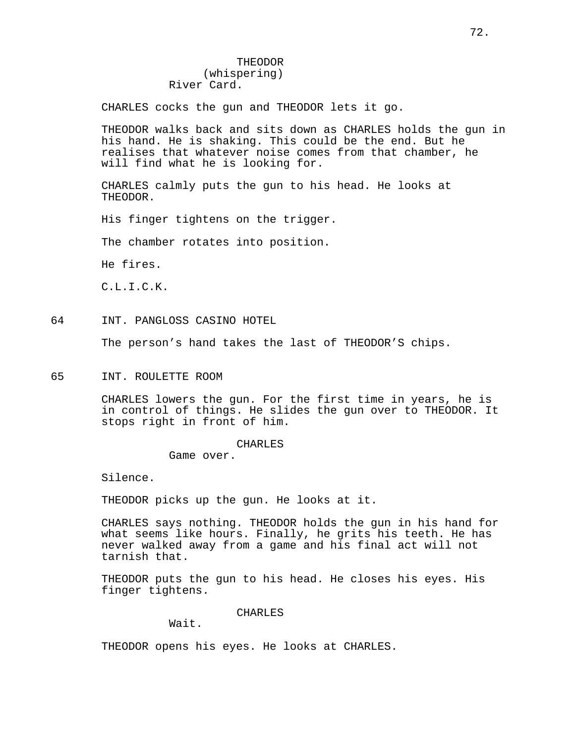CHARLES cocks the gun and THEODOR lets it go.

THEODOR walks back and sits down as CHARLES holds the gun in his hand. He is shaking. This could be the end. But he realises that whatever noise comes from that chamber, he will find what he is looking for.

CHARLES calmly puts the gun to his head. He looks at THEODOR.

His finger tightens on the trigger.

The chamber rotates into position.

He fires.

C.L.I.C.K.

## 64 INT. PANGLOSS CASINO HOTEL

The person's hand takes the last of THEODOR'S chips.

65 INT. ROULETTE ROOM

CHARLES lowers the gun. For the first time in years, he is in control of things. He slides the gun over to THEODOR. It stops right in front of him.

## CHARLES

Game over.

Silence.

THEODOR picks up the gun. He looks at it.

CHARLES says nothing. THEODOR holds the gun in his hand for what seems like hours. Finally, he grits his teeth. He has never walked away from a game and his final act will not tarnish that.

THEODOR puts the gun to his head. He closes his eyes. His finger tightens.

CHARLES

Wait.

THEODOR opens his eyes. He looks at CHARLES.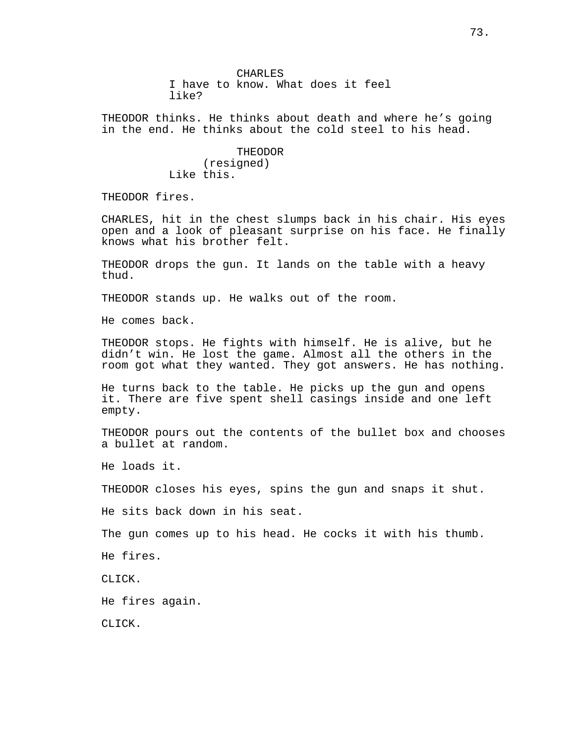THEODOR thinks. He thinks about death and where he's going in the end. He thinks about the cold steel to his head.

> **THEODOR** (resigned) Like this.

THEODOR fires.

CHARLES, hit in the chest slumps back in his chair. His eyes open and a look of pleasant surprise on his face. He finally knows what his brother felt.

THEODOR drops the gun. It lands on the table with a heavy thud.

THEODOR stands up. He walks out of the room.

He comes back.

THEODOR stops. He fights with himself. He is alive, but he didn't win. He lost the game. Almost all the others in the room got what they wanted. They got answers. He has nothing.

He turns back to the table. He picks up the gun and opens it. There are five spent shell casings inside and one left empty.

THEODOR pours out the contents of the bullet box and chooses a bullet at random.

He loads it.

THEODOR closes his eyes, spins the gun and snaps it shut.

He sits back down in his seat.

The gun comes up to his head. He cocks it with his thumb.

He fires.

CLICK.

He fires again.

CLICK.